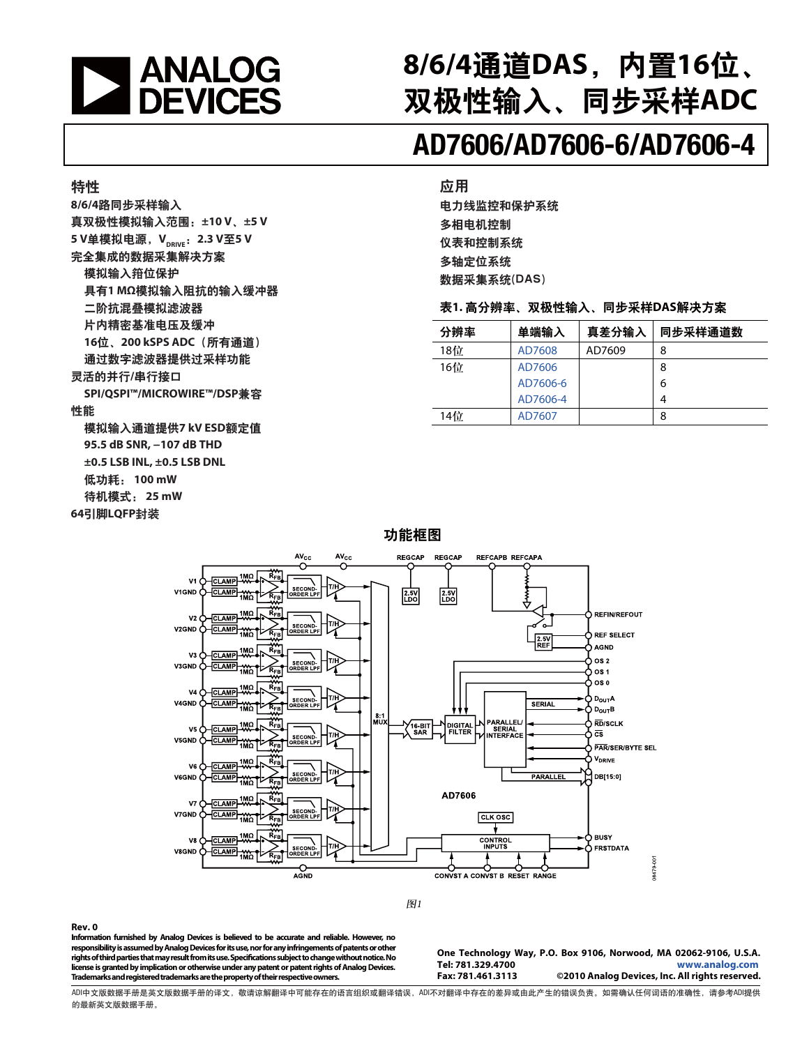

# 8/6/4通道DAS, 内置16位、 双极性输入、同步采样ADC

# **AD7606/AD7606-6/AD7606-4**

#### 特性

8/6/4路同步采样输入 真双极性模拟输入范围: ±10 V、±5 V 5 V单模拟电源, V<sub>DRIVE</sub>: 2.3 V至5 V 完全集成的数据采集解决方案 模拟输入箝位保护 具有1 MΩ模拟输入阻抗的输入缓冲器 二阶抗混叠模拟滤波器 片内精密基准电压及缓冲 16位、200 kSPS ADC (所有通道) 通过数字滤波器提供过采样功能 灵活的并行/串行接口 **SPI/QSPI™/MICROWIRE™/DSP兼容** 

#### 性能

模拟输入通道提供7 kV ESD额定值  **95.5 dB SNR, −107 dB THD ±0.5 LSB INL, ±0.5 LSB DNL**  低功耗: 100 mW 待机模式: 25 mW 64引脚LQFP封装

#### 应用

电力线监控和保护系统 多相电机控制 仪表和控制系统 多轴定位系统 数据采集系统(DAS)

#### 表1. 高分辨率、双极性输入、同步采样DAS解决方案

| 分辨率 | 单端输入     | 真差分输入  | 同步采样通道数 |
|-----|----------|--------|---------|
| 18位 | AD7608   | AD7609 | 8       |
| 16位 | AD7606   |        | 8       |
|     | AD7606-6 |        | 6       |
|     | AD7606-4 |        | 4       |
| 14位 | AD7607   |        | 8       |

#### 功能框图



图1

#### **Rev. 0**

**Information furnished by Analog Devices is believed to be accurate and reliable. However, no responsibility is assumed by Analog Devices for its use, nor for any infringements of patents or other rights of third parties that may result from its use. Specifications subject to change without notice. No license is granted by implication or otherwise under any patent or patent rights of Analog Devices. Trademarks and registered trademarks are the property of their respective owners.** 

**One Technology Way, P.O. Box 9106, Norwood, MA 02062-9106, U.S.A. Tel: 781.329.4700 [www.analog.com](http://www.analog.com/zh/index.html)** ©2010 Analog Devices, Inc. All rights reserved.

ADI中文版数据手册是英文版数据手册的译文,敬请谅解翻译中可能存在的语言组织或翻译错误,ADI不对翻译中存在的差异或由此产生的错误负责。如需确认任何词语的准确性,请参考ADI提供 的最新英文版数据手册。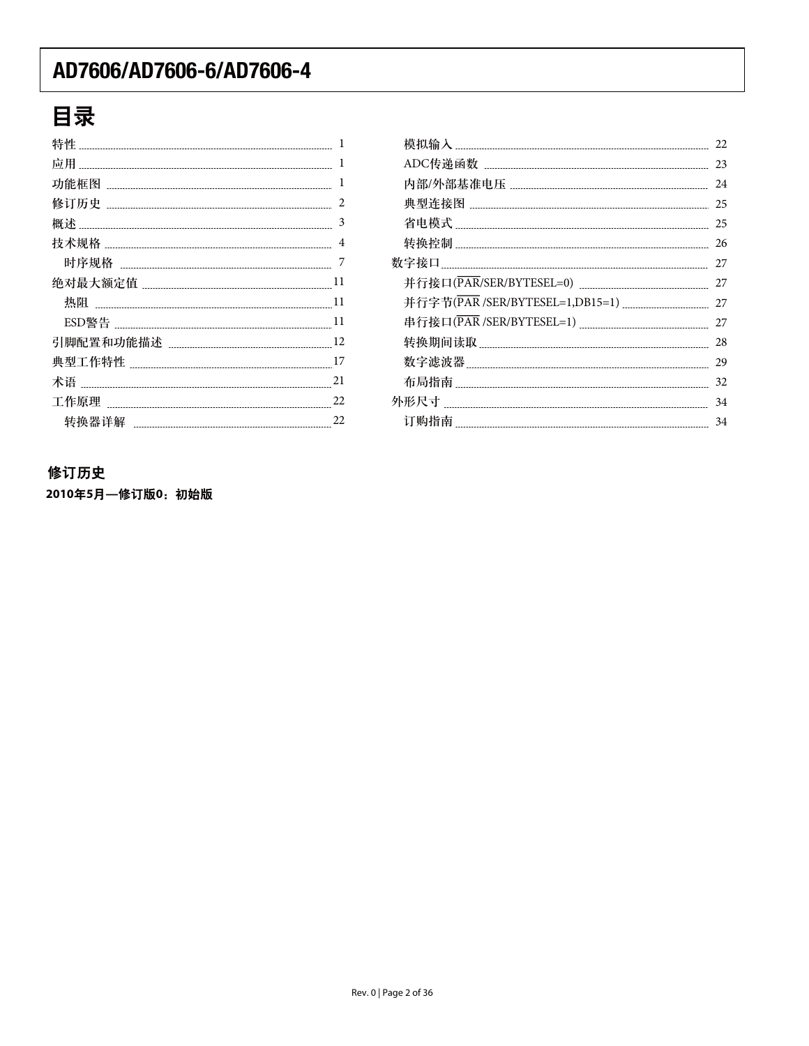# 目录

| 特性<br>1      |
|--------------|
| 1<br>应用      |
| 1<br>功能框图    |
| 2            |
| 3<br>概述      |
| 4            |
| 7            |
| 11           |
| 热阻<br>11     |
| 11           |
| 12           |
| 17<br>典型工作特性 |
| 21<br>术语     |
| 22           |
| 22<br>转换器详解  |

|  | 22 |
|--|----|
|  | 23 |
|  | 24 |
|  | 25 |
|  | 25 |
|  | 26 |
|  | 27 |
|  | 27 |
|  | 27 |
|  | 27 |
|  | 28 |
|  | 29 |
|  | 32 |
|  | 34 |
|  | 34 |
|  |    |

#### 修订历史

2010年5月一修订版0:初始版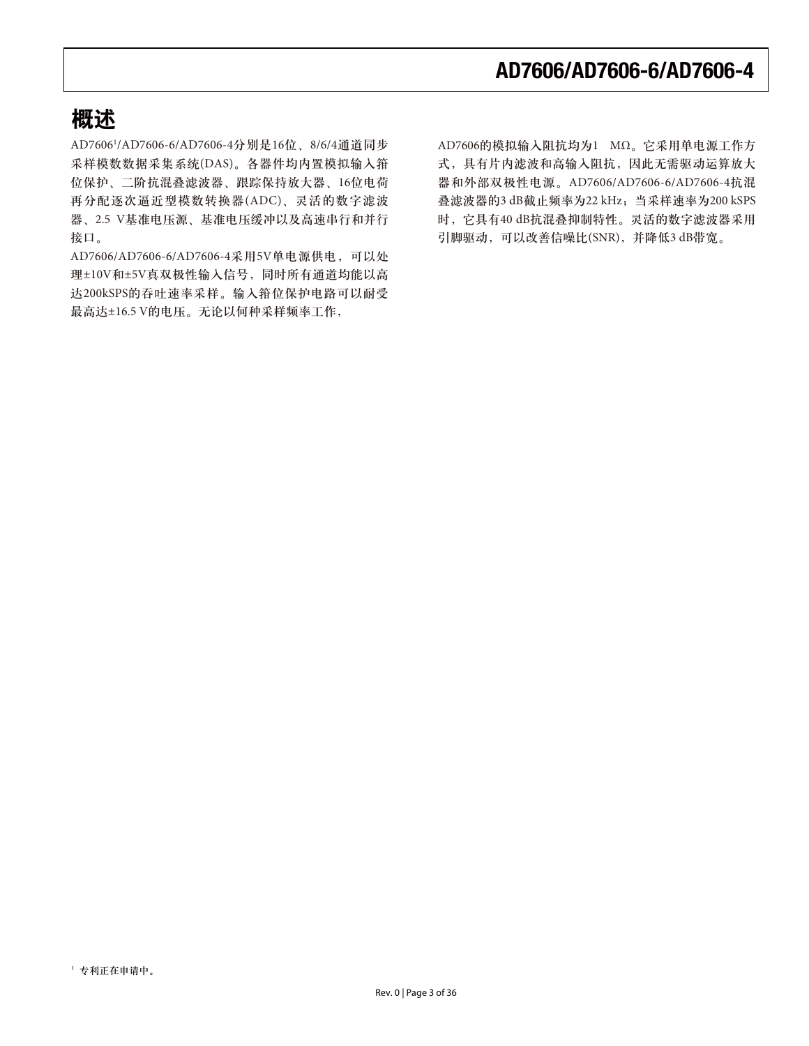### 概述

AD7606<sup>1</sup>/AD7606-6/AD7606-4分别是16位、8/6/4通道同步 采样模数数据采集系统(DAS)。各器件均内置模拟输入箝 位保护、二阶抗混叠滤波器、跟踪保持放大器、16位电荷 再分配逐次逼近型模数转换器(ADC)、灵活的数字滤波 器、2.5 V基准电压源、基准电压缓冲以及高速串行和并行 接口。

AD7606/AD7606-6/AD7606-4采用5V单电源供电, 可以处 理±10V和±5V真双极性输入信号,同时所有通道均能以高 达200kSPS的吞吐速率采样。输入箝位保护电路可以耐受 最高达±16.5 V的电压。无论以何种采样频率工作,

AD7606的模拟输入阻抗均为1 MΩ。它采用单电源工作方 式, 具有片内滤波和高输入阻抗, 因此无需驱动运算放大 器和外部双极性电源。AD7606/AD7606-6/AD7606-4抗混 叠滤波器的3 dB截止频率为22 kHz; 当采样速率为200 kSPS 时, 它具有40 dB抗混叠抑制特性。灵活的数字滤波器采用 引脚驱动,可以改善信噪比(SNR),并降低3 dB带宽。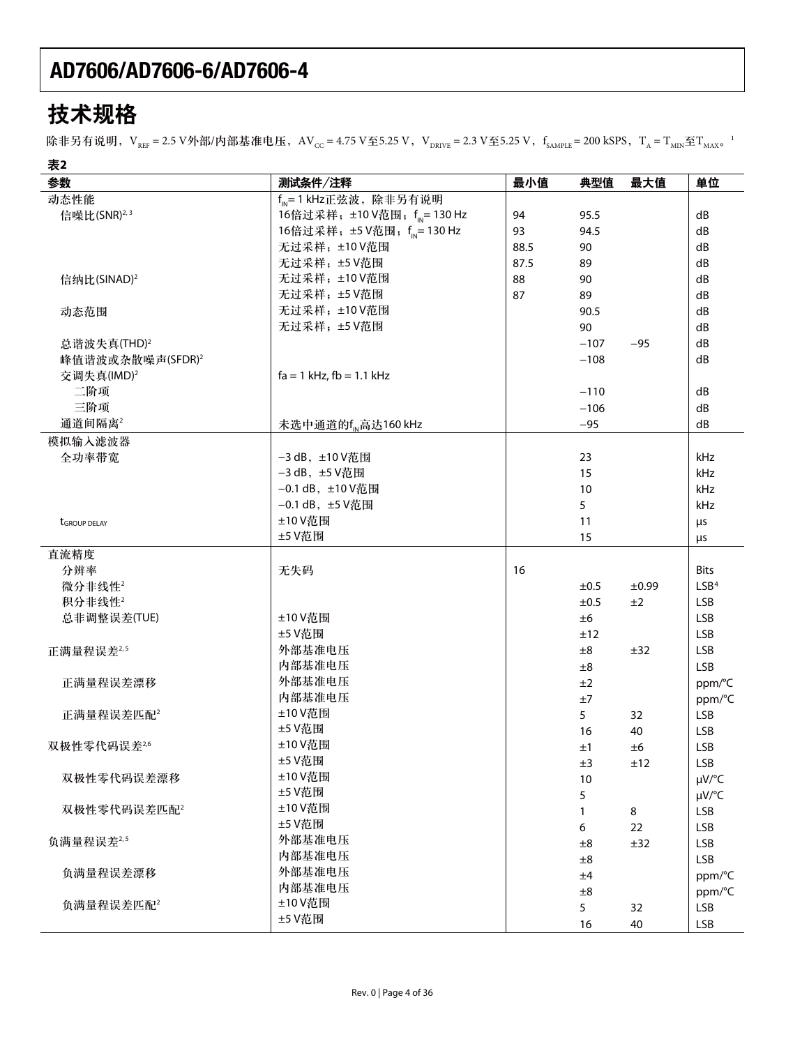# 技术规格

除非另有说明,V $_{\rm{ref}}$  = 2.5 V外部/内部基准电压,AV $_{\rm{cc}}$  = 4.75 V至5.25 V,V $_{\rm{DRIVE}}$  = 2.3 V至5.25 V,f $_{\rm{SAMPLE}}$  = 200 kSPS,T $_{\rm{A}}$  = T $_{\rm{MIN}}$ 至T $_{\rm{MAX}}$   $^{-1}$ 

| 表2                           |                                          |      |           |         |                  |
|------------------------------|------------------------------------------|------|-----------|---------|------------------|
| 参数                           | 测试条件/注释                                  | 最小值  | 典型值       | 最大值     | 单位               |
| 动态性能                         | $f_{\text{IN}}$ = 1 kHz正弦波, 除非另有说明       |      |           |         |                  |
| 信噪比(SNR) <sup>2,3</sup>      | 16倍过采样; ±10 V范围; f <sub>IN</sub> =130 Hz | 94   | 95.5      |         | dB               |
|                              | 16倍过采样; ±5 V范围; fp= 130 Hz               | 93   | 94.5      |         | dB               |
|                              | 无过采样; ±10V范围                             | 88.5 | 90        |         | dB               |
|                              | 无过采样; ±5 V范围                             | 87.5 | 89        |         | dB               |
| 信纳比(SINAD) <sup>2</sup>      | 无过采样; ±10V范围                             | 88   | 90        |         | dB               |
|                              | 无过采样; ±5 V范围                             | 87   | 89        |         | dB               |
| 动态范围                         | 无过采样; ±10V范围                             |      | 90.5      |         | dB               |
|                              | 无过采样;±5V范围                               |      | 90        |         | dB               |
| 总谐波失真(THD) <sup>2</sup>      |                                          |      | $-107$    | $-95$   | dB               |
| 峰值谐波或杂散噪声(SFDR) <sup>2</sup> |                                          |      | $-108$    |         | dB               |
| 交调失真(IMD) <sup>2</sup>       | $fa = 1$ kHz, $fb = 1.1$ kHz             |      |           |         |                  |
| 二阶项                          |                                          |      | $-110$    |         | dB               |
| 三阶项                          |                                          |      | $-106$    |         | dB               |
| 通道间隔离2                       | 未选中通道的f <sub>M</sub> 高达160 kHz           |      | $-95$     |         | dB               |
| 模拟输入滤波器                      |                                          |      |           |         |                  |
| 全功率带宽                        | -3 dB, ±10 V范围                           |      | 23        |         | kHz              |
|                              | -3 dB, ±5 V范围                            |      |           |         | kHz              |
|                              | -0.1 dB, ±10 V范围                         |      | 15        |         | kHz              |
|                              |                                          |      | 10        |         |                  |
|                              | -0.1 dB, ±5 V范围                          |      | 5         |         | kHz              |
| <b>t</b> GROUP DELAY         | ±10 V范围                                  |      | 11        |         | μs               |
|                              | ±5 V范围                                   |      | 15        |         | μs               |
| 直流精度                         |                                          |      |           |         |                  |
| 分辨率                          | 无失码                                      | 16   |           |         | <b>Bits</b>      |
| 微分非线性2                       |                                          |      | ±0.5      | ±0.99   | LSB <sup>4</sup> |
| 积分非线性2                       |                                          |      | $\pm 0.5$ | ±2      | LSB              |
| 总非调整误差(TUE)                  | ±10 V范围                                  |      | ±6        |         | <b>LSB</b>       |
|                              | ±5 V范围                                   |      | ±12       |         | <b>LSB</b>       |
| 正满量程误差 <sup>2,5</sup>        | 外部基准电压                                   |      | ±8        | ±32     | <b>LSB</b>       |
|                              | 内部基准电压                                   |      | ±8        |         | <b>LSB</b>       |
| 正满量程误差漂移                     | 外部基准电压                                   |      | ±2        |         | ppm/°C           |
|                              | 内部基准电压                                   |      | $\pm 7$   |         | ppm/°C           |
| 正满量程误差匹配 <sup>2</sup>        | ±10 V范围                                  |      | 5         | 32      | <b>LSB</b>       |
|                              | ±5 V范围                                   |      | 16        | 40      | <b>LSB</b>       |
| 双极性零代码误差26                   | ±10 V范围                                  |      | ±1        | ±6      | <b>LSB</b>       |
|                              | ±5 V范围                                   |      | ±3        | ±12     | LSB              |
| 双极性零代码误差漂移                   | ±10 V范围                                  |      | 10        |         | µV/°C            |
|                              | ±5 V范围                                   |      | 5         |         | µV/°C            |
| 双极性零代码误差匹配2                  | ±10 V范围                                  |      | 1         | $\bf 8$ | <b>LSB</b>       |
|                              | ±5 V范围                                   |      | 6         | 22      | <b>LSB</b>       |
| 负满量程误差2,5                    | 外部基准电压                                   |      | ±8        | ±32     | <b>LSB</b>       |
|                              | 内部基准电压                                   |      | ±8        |         | <b>LSB</b>       |
| 负满量程误差漂移                     | 外部基准电压                                   |      | ±4        |         | ppm/°C           |
|                              | 内部基准电压                                   |      | ±8        |         | ppm/°C           |
| 负满量程误差匹配2                    | ±10 V范围                                  |      | 5         | 32      | <b>LSB</b>       |
|                              | ±5 V范围                                   |      | 16        | 40      | <b>LSB</b>       |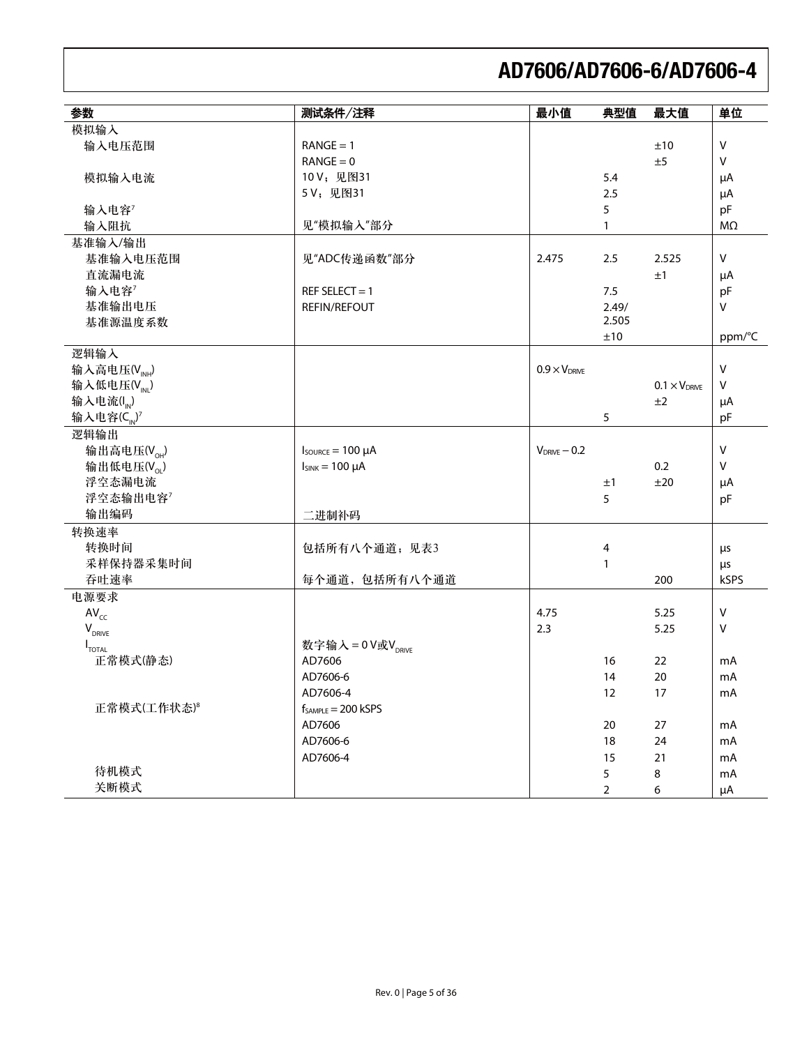| 参数                             | 测试条件/注释                                                   | 最小值                    | 典型值            | 最大值                    | 单位           |
|--------------------------------|-----------------------------------------------------------|------------------------|----------------|------------------------|--------------|
| 模拟输入                           |                                                           |                        |                |                        |              |
| 输入电压范围                         | $RANGE = 1$                                               |                        |                | ±10                    | $\mathsf{V}$ |
|                                | $RANGE = 0$                                               |                        |                | ±5                     | $\sf V$      |
| 模拟输入电流                         | 10V; 见图31                                                 |                        | 5.4            |                        | μA           |
|                                | 5V; 见图31                                                  |                        | 2.5            |                        | μA           |
| 输入电容7                          |                                                           |                        | 5              |                        | pF           |
| 输入阻抗                           | 见"模拟输入"部分                                                 |                        | 1              |                        | $M\Omega$    |
| 基准输入/输出                        |                                                           |                        |                |                        |              |
| 基准输入电压范围                       | 见"ADC传递函数"部分                                              | 2.475                  | 2.5            | 2.525                  | V            |
| 直流漏电流                          |                                                           |                        |                | ±1                     | μA           |
| 输入电容7                          | REF SELECT = $1$                                          |                        | 7.5            |                        | pF           |
| 基准输出电压                         | <b>REFIN/REFOUT</b>                                       |                        | 2.49/          |                        | $\mathsf{V}$ |
| 基准源温度系数                        |                                                           |                        | 2.505          |                        |              |
|                                |                                                           |                        | ±10            |                        | ppm/°C       |
| 逻辑输入                           |                                                           |                        |                |                        |              |
| 输入高电压(V <sub>INH</sub> )       |                                                           | $0.9 \times V_{DRIVE}$ |                |                        | $\mathsf{V}$ |
| 输入低电压 $(V_{\text{int}})$       |                                                           |                        |                | $0.1 \times V_{DRIVE}$ | $\sf V$      |
| 输入电流(I <sub>N</sub> )          |                                                           |                        |                | ±2                     | μA           |
| 输入电容 $(C_{10})^7$              |                                                           |                        | 5              |                        | pF           |
| 逻辑输出                           |                                                           | $V_{DRIVE} - 0.2$      |                |                        |              |
| 输出高电压 $(V_{\text{OH}})$        | $I_{\text{SOWRCE}} = 100 \mu A$<br>$I_{SINK} = 100 \mu A$ |                        |                | 0.2                    | V<br>$\sf V$ |
| 输出低电压 $(V_{\alpha})$<br>浮空态漏电流 |                                                           |                        |                | ±20                    |              |
| 浮空态输出电容7                       |                                                           |                        | ±1<br>5        |                        | μA<br>pF     |
| 输出编码                           | 二进制补码                                                     |                        |                |                        |              |
| 转换速率                           |                                                           |                        |                |                        |              |
| 转换时间                           | 包括所有八个通道;见表3                                              |                        | 4              |                        | μs           |
| 采样保持器采集时间                      |                                                           |                        | 1              |                        | μs           |
| 吞吐速率                           | 每个通道,包括所有八个通道                                             |                        |                | 200                    | kSPS         |
| 电源要求                           |                                                           |                        |                |                        |              |
| $AV_{cc}$                      |                                                           | 4.75                   |                | 5.25                   | V            |
| $V_{DRIVE}$                    |                                                           | 2.3                    |                | 5.25                   | V            |
| $I_{\text{total}}$             | 数字输入=0V或V <sub>DRIVE</sub>                                |                        |                |                        |              |
| 正常模式(静态)                       | AD7606                                                    |                        | 16             | 22                     | mA           |
|                                | AD7606-6                                                  |                        | 14             | 20                     | mA           |
|                                | AD7606-4                                                  |                        | 12             | 17                     | mA           |
| 正常模式(工作状态)8                    | $f_{SAMPLE} = 200$ kSPS                                   |                        |                |                        |              |
|                                | AD7606                                                    |                        | 20             | 27                     | mA           |
|                                | AD7606-6                                                  |                        | 18             | 24                     | mA           |
|                                | AD7606-4                                                  |                        | 15             | $21$                   | mA           |
| 待机模式                           |                                                           |                        | 5              | $\bf 8$                | mA           |
| 关断模式                           |                                                           |                        | $\overline{2}$ | 6                      | μA           |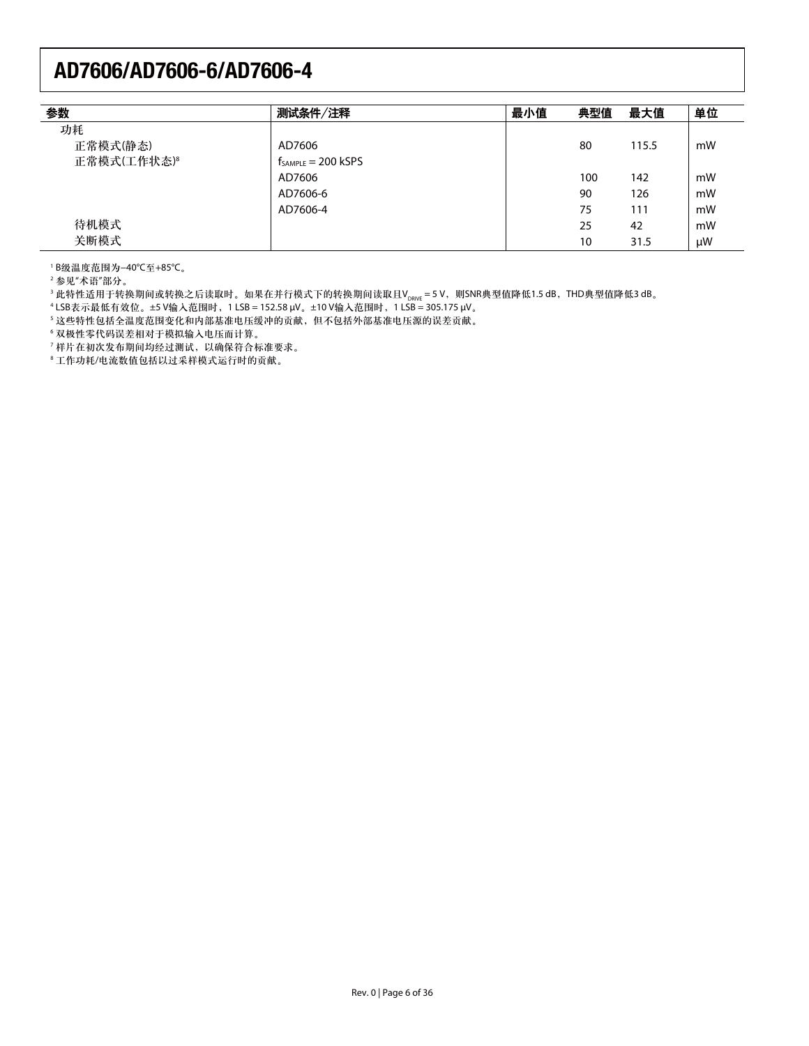| 参数                      | 测试条件/注释                 | 最小值 | 典型值 | 最大值   | 单位 |
|-------------------------|-------------------------|-----|-----|-------|----|
| 功耗                      |                         |     |     |       |    |
| 正常模式(静态)                | AD7606                  |     | 80  | 115.5 | mW |
| 正常模式(工作状态) <sup>8</sup> | $f_{SAMPLE} = 200$ kSPS |     |     |       |    |
|                         | AD7606                  |     | 100 | 142   | mW |
|                         | AD7606-6                |     | 90  | 126   | mW |
|                         | AD7606-4                |     | 75  | 111   | mW |
| 待机模式                    |                         |     | 25  | 42    | mW |
| 关断模式                    |                         |     | 10  | 31.5  | μW |

'B级温度范围为−40℃至+85℃。

 $2$ 参见"术语"部分。

<sup>3</sup> 此特性适用于转换期间或转换之后读取时。如果在并行模式下的转换期间读取且V<sub>DRWE</sub> = 5 V,则SNR典型值降低1.5 dB,THD典型值降低3 dB。<br><sup>4</sup>LSB表示最低有效位。±5 V输入范围时,1 LSB = 152.58 μV。±10 V输入范围时,1 LSB = 305.175 μV。

5 这些特性包括全温度范围变化和内部基准电压缓冲的贡献,但不包括外部基准电压源的误差贡献。

6 双极性零代码误差相对于模拟输入电压而计算。

 $^7$ 样片在初次发布期间均经过测试,以确保符合标准要求。

<sup>8</sup>工作功耗/电流数值包括以过采样模式运行时的贡献。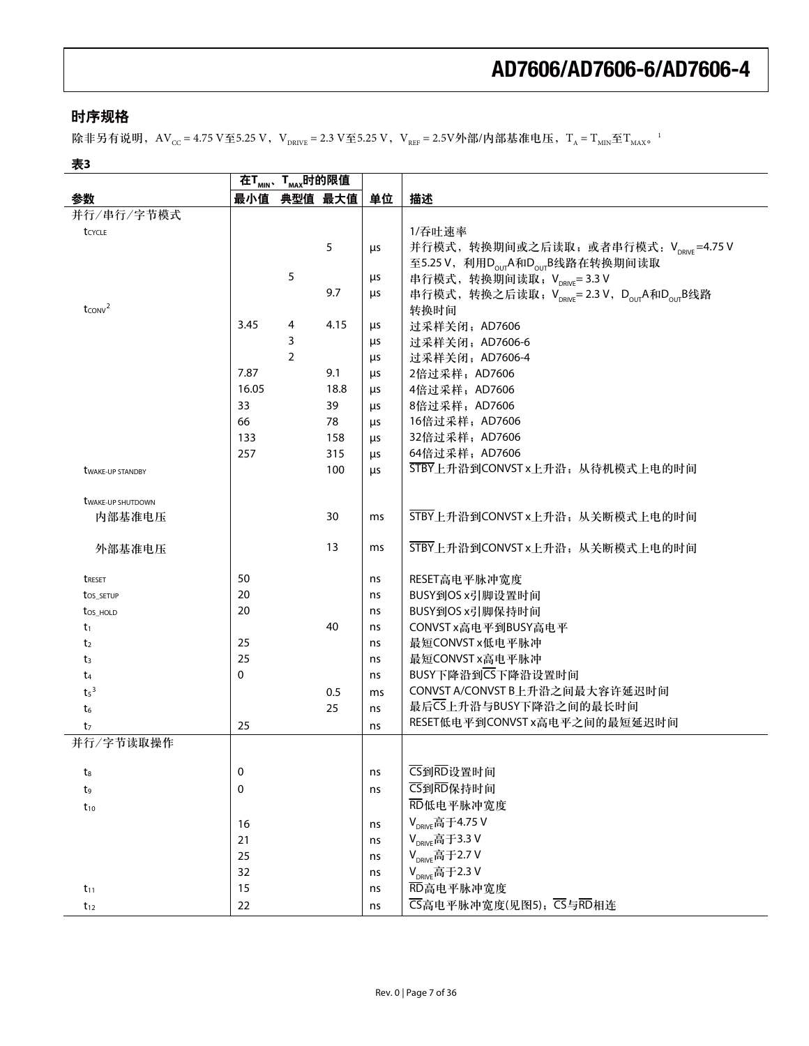#### 时序规格

除非另有说明,  $AV_{CC} = 4.75$  V至5.25 V, V<sub>DRIVE</sub> = 2.3 V至5.25 V, V<sub>REF</sub> = 2.5V外部/内部基准电压, T<sub>A</sub> = T<sub>MIN</sub>至T<sub>MAX</sub>。<sup>1</sup>

### 表3

|                                    |             | 在T <sub>MIN</sub> 、T <sub>MAX</sub> 时的限值 |             |    |                                                                                 |
|------------------------------------|-------------|------------------------------------------|-------------|----|---------------------------------------------------------------------------------|
| 参数                                 |             |                                          | 最小值 典型值 最大值 | 单位 | 描述                                                                              |
| 并行/串行/字节模式                         |             |                                          |             |    |                                                                                 |
| tcycle                             |             |                                          |             |    | 1/吞吐速率                                                                          |
|                                    |             |                                          | 5           | μs | 并行模式, 转换期间或之后读取; 或者串行模式: VpRIVE=4.75 V                                          |
|                                    |             |                                          |             |    | 至5.25 V, 利用D <sub>our</sub> A和D <sub>our</sub> B线路在转换期间读取                       |
|                                    |             | 5                                        |             | μs | 串行模式, 转换期间读取; V <sub>DRIVE</sub> =3.3 V                                         |
|                                    |             |                                          | 9.7         | μs | 串行模式, 转换之后读取; V <sub>DRWF</sub> =2.3 V, D <sub>our</sub> A和D <sub>our</sub> B线路 |
| $t_{CONV}^2$                       |             |                                          |             |    | 转换时间                                                                            |
|                                    | 3.45        | 4                                        | 4.15        | μs | 过采样关闭; AD7606                                                                   |
|                                    |             | 3                                        |             | μs | 过采样关闭; AD7606-6                                                                 |
|                                    |             | $\overline{2}$                           |             | μs | 过采样关闭; AD7606-4                                                                 |
|                                    | 7.87        |                                          | 9.1         | μs | 2倍过采样; AD7606                                                                   |
|                                    | 16.05       |                                          | 18.8        | μs | 4倍过采样; AD7606                                                                   |
|                                    | 33          |                                          | 39          | μs | 8倍过采样; AD7606                                                                   |
|                                    | 66          |                                          | 78          | μs | 16倍过采样; AD7606                                                                  |
|                                    | 133         |                                          | 158         | μs | 32倍过采样; AD7606                                                                  |
|                                    | 257         |                                          | 315         | μs | 64倍过采样; AD7606<br>STBY上升沿到CONVST x上升沿; 从待机模式上电的时间                               |
| <b><i>UWAKE-UP STANDBY</i></b>     |             |                                          | 100         | μs |                                                                                 |
|                                    |             |                                          |             |    |                                                                                 |
| <b>twake-up SHUTDOWN</b><br>内部基准电压 |             |                                          | 30          | ms | STBY上升沿到CONVST x上升沿; 从关断模式上电的时间                                                 |
|                                    |             |                                          |             |    |                                                                                 |
| 外部基准电压                             |             |                                          | 13          | ms | STBY上升沿到CONVST x上升沿; 从关断模式上电的时间                                                 |
|                                    |             |                                          |             |    |                                                                                 |
| <b>TRESET</b>                      | 50          |                                          |             | ns | RESET高电平脉冲宽度                                                                    |
| tos_setup                          | 20          |                                          |             | ns | BUSY到OS x引脚设置时间                                                                 |
| tos_HOLD                           | 20          |                                          |             | ns | BUSY到OS x引脚保持时间                                                                 |
| t1                                 |             |                                          | 40          | ns | CONVST x高电平到BUSY高电平                                                             |
| t <sub>2</sub>                     | 25          |                                          |             | ns | 最短CONVST x低电平脉冲                                                                 |
| t3                                 | 25          |                                          |             | ns | 最短CONVST x高电平脉冲                                                                 |
| t4                                 | 0           |                                          |             | ns | BUSY下降沿到CS下降沿设置时间                                                               |
| $t5$ <sup>3</sup>                  |             |                                          | 0.5         | ms | CONVST A/CONVST B上升沿之间最大容许延迟时间                                                  |
| $t_6$                              |             |                                          | 25          | ns | 最后CS上升沿与BUSY下降沿之间的最长时间                                                          |
| t <sub>7</sub>                     | 25          |                                          |             | ns | RESET低电平到CONVST x高电平之间的最短延迟时间                                                   |
| 并行/字节读取操作                          |             |                                          |             |    |                                                                                 |
|                                    | 0           |                                          |             |    | CS到RD设置时间                                                                       |
| $t_8$                              | $\mathbf 0$ |                                          |             | ns | CS到RD保持时间                                                                       |
| t9                                 |             |                                          |             | ns | RD低电平脉冲宽度                                                                       |
| $t_{10}$                           |             |                                          |             |    |                                                                                 |
|                                    | 16          |                                          |             | ns | V <sub>DRIVE</sub> 高于4.75 V                                                     |
|                                    | 21          |                                          |             | ns | V <sub>DRIVE</sub> 高于3.3 V                                                      |
|                                    | 25          |                                          |             | ns | V <sub>DRIVE</sub> 高于2.7 V                                                      |
|                                    | 32          |                                          |             | ns | V <sub>DRIVE</sub> 高于2.3 V                                                      |
| $t_{11}$                           | 15          |                                          |             | ns | RD高电平脉冲宽度                                                                       |
| $t_{12}$                           | 22          |                                          |             | ns | CS高电平脉冲宽度(见图5); CS与RD相连                                                         |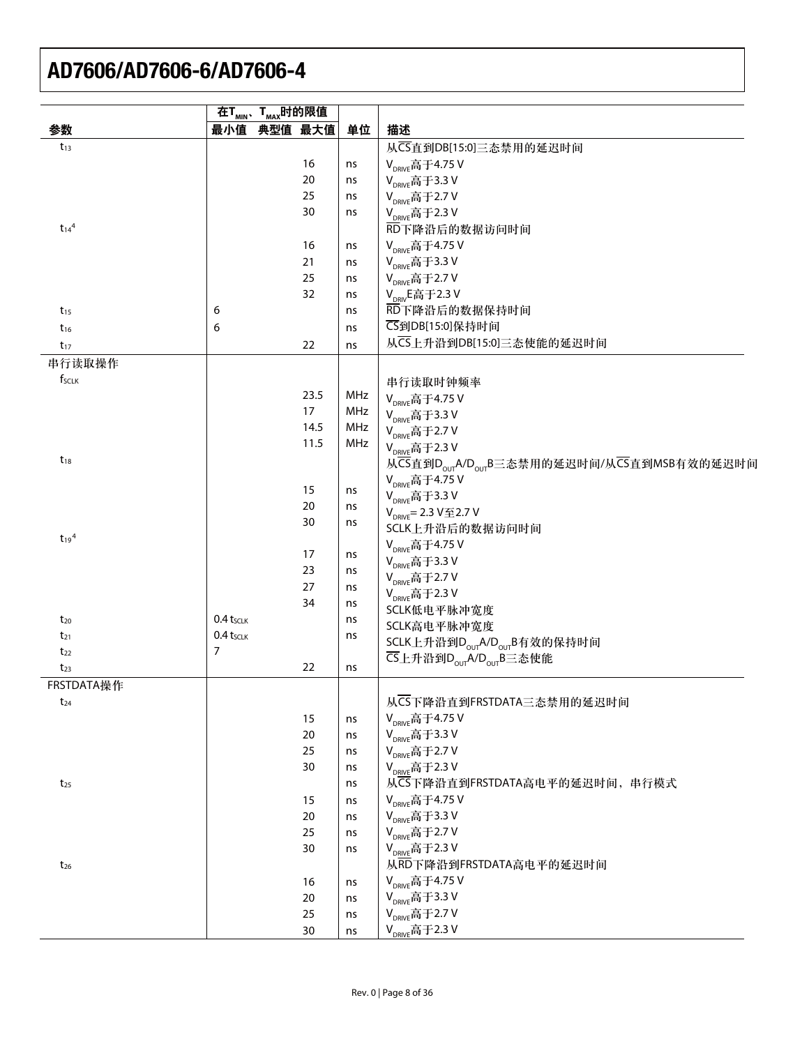| 最小值 典型值 最大值<br>参数<br>单位<br>描述<br>从CS直到DB[15:0]三态禁用的延迟时间<br>$t_{13}$<br>16<br>V <sub>DRIVF</sub> 高于4.75 V<br>ns<br>20<br>V <sub>DRIVE</sub> 高于3.3 V<br>ns<br>25<br>V <sub>DRIVE</sub> 高于2.7 V<br>ns<br>30<br>V <sub>DRIVE</sub> 高于2.3 V<br>ns<br>$t_{14}$ <sup>4</sup><br>RD下降沿后的数据访问时间<br>V <sub>DRIVE</sub> 高于4.75 V<br>16<br>ns<br>21<br>V <sub>DRIVE</sub> 高于3.3 V<br>ns<br>25<br>V <sub>DRIVE</sub> 高于2.7 V<br>ns<br>32<br>V <sub>DRIV</sub> E高于2.3 V<br>ns<br>6<br>RD下降沿后的数据保持时间<br>$t_{15}$<br>ns<br><b>CS到DB[15:0]保持时间</b><br>6<br>$t_{16}$<br>ns<br>从CS上升沿到DB[15:0]三态使能的延迟时间<br>22<br>$t_{17}$<br>ns<br>串行读取操作<br>fsclk<br>串行读取时钟频率<br>23.5<br>MHz<br>V <sub>DRIVE</sub> 高于4.75 V<br>17<br>MHz<br>V <sub>DRIVE</sub> 高于3.3 V<br>14.5<br>MHz<br>V <sub>DRIVE</sub> 高于2.7 V<br>11.5<br>MHz<br>V <sub>DRIVE</sub> 高于2.3 V<br>$t_{18}$<br>从CS直到D <sub>our</sub> A/D <sub>our</sub> B三态禁用的延迟时间/从CS直到MSB有效的延迟时间<br>V <sub>DRIVE</sub> 高于4.75 V<br>15<br>ns<br>V <sub>DRIVE</sub> 高于3.3 V<br>20<br>ns<br>$V_{DRIVF} = 2.3 V 2.7 V$<br>30<br>ns<br>SCLK上升沿后的数据访问时间<br>$t_{19}$ <sup>4</sup><br>V <sub>DRIVF</sub> 高于4.75 V<br>17<br>ns<br>V <sub>DRIVE</sub> 高于3.3 V<br>23<br>ns<br>V <sub>DRIVE</sub> 高于2.7 V<br>27<br>ns<br>$V_{DRIVE}$ 高于2.3 V<br>34<br>ns<br>SCLK低电平脉冲宽度<br>0.4 tsclk<br>$t_{20}$<br>ns<br>SCLK高电平脉冲宽度<br>$0.4$ tsclk<br>$t_{21}$<br>ns<br>SCLK上升沿到D <sub>our</sub> A/D <sub>our</sub> B有效的保持时间<br>$\overline{7}$<br>$t_{22}$<br>CS上升沿到D <sub>our</sub> A/D <sub>our</sub> B三态使能<br>22<br>$t_{23}$<br>ns<br>FRSTDATA操作<br>从CS下降沿直到FRSTDATA三态禁用的延迟时间<br>$t_{24}$<br>V <sub>DRIVE</sub> 高于4.75 V<br>15<br>ns<br>V <sub>DRIVE</sub> 高于3.3 V<br>20<br>ns<br>V <sub>DRIVE</sub> 高于2.7 V<br>25<br>ns<br>V <sub>DRIVE</sub> 高于2.3 V<br>30<br>ns<br>从CS下降沿直到FRSTDATA高电平的延迟时间,串行模式<br>$t_{25}$<br>ns<br>V <sub>DRIVE</sub> 高于4.75 V<br>15<br>ns<br>V <sub>DRIVE</sub> 高于3.3 V<br>20<br>ns<br>V <sub>DRIVE</sub> 高于2.7 V<br>25<br>ns<br>V <sub>DRIVE</sub> 高于2.3 V<br>30<br>ns<br>从RD下降沿到FRSTDATA高电平的延迟时间<br>$t_{26}$<br>V <sub>DRIVE</sub> 高于4.75 V<br>16<br>ns<br>V <sub>DRIVE</sub> 高于3.3 V<br>20<br>ns<br>V <sub>DRIVE</sub> 高于2.7 V<br>25<br>ns<br>30<br>ns |  | 在T <sub>MIN</sub> 、T <sub>MAX</sub> 时的限值 |  |                     |
|----------------------------------------------------------------------------------------------------------------------------------------------------------------------------------------------------------------------------------------------------------------------------------------------------------------------------------------------------------------------------------------------------------------------------------------------------------------------------------------------------------------------------------------------------------------------------------------------------------------------------------------------------------------------------------------------------------------------------------------------------------------------------------------------------------------------------------------------------------------------------------------------------------------------------------------------------------------------------------------------------------------------------------------------------------------------------------------------------------------------------------------------------------------------------------------------------------------------------------------------------------------------------------------------------------------------------------------------------------------------------------------------------------------------------------------------------------------------------------------------------------------------------------------------------------------------------------------------------------------------------------------------------------------------------------------------------------------------------------------------------------------------------------------------------------------------------------------------------------------------------------------------------------------------------------------------------------------------------------------------------------------------------------------------------------------------------------------------------------------------------------------------------------------------------|--|------------------------------------------|--|---------------------|
|                                                                                                                                                                                                                                                                                                                                                                                                                                                                                                                                                                                                                                                                                                                                                                                                                                                                                                                                                                                                                                                                                                                                                                                                                                                                                                                                                                                                                                                                                                                                                                                                                                                                                                                                                                                                                                                                                                                                                                                                                                                                                                                                                                            |  |                                          |  |                     |
|                                                                                                                                                                                                                                                                                                                                                                                                                                                                                                                                                                                                                                                                                                                                                                                                                                                                                                                                                                                                                                                                                                                                                                                                                                                                                                                                                                                                                                                                                                                                                                                                                                                                                                                                                                                                                                                                                                                                                                                                                                                                                                                                                                            |  |                                          |  |                     |
|                                                                                                                                                                                                                                                                                                                                                                                                                                                                                                                                                                                                                                                                                                                                                                                                                                                                                                                                                                                                                                                                                                                                                                                                                                                                                                                                                                                                                                                                                                                                                                                                                                                                                                                                                                                                                                                                                                                                                                                                                                                                                                                                                                            |  |                                          |  |                     |
|                                                                                                                                                                                                                                                                                                                                                                                                                                                                                                                                                                                                                                                                                                                                                                                                                                                                                                                                                                                                                                                                                                                                                                                                                                                                                                                                                                                                                                                                                                                                                                                                                                                                                                                                                                                                                                                                                                                                                                                                                                                                                                                                                                            |  |                                          |  |                     |
|                                                                                                                                                                                                                                                                                                                                                                                                                                                                                                                                                                                                                                                                                                                                                                                                                                                                                                                                                                                                                                                                                                                                                                                                                                                                                                                                                                                                                                                                                                                                                                                                                                                                                                                                                                                                                                                                                                                                                                                                                                                                                                                                                                            |  |                                          |  |                     |
|                                                                                                                                                                                                                                                                                                                                                                                                                                                                                                                                                                                                                                                                                                                                                                                                                                                                                                                                                                                                                                                                                                                                                                                                                                                                                                                                                                                                                                                                                                                                                                                                                                                                                                                                                                                                                                                                                                                                                                                                                                                                                                                                                                            |  |                                          |  |                     |
|                                                                                                                                                                                                                                                                                                                                                                                                                                                                                                                                                                                                                                                                                                                                                                                                                                                                                                                                                                                                                                                                                                                                                                                                                                                                                                                                                                                                                                                                                                                                                                                                                                                                                                                                                                                                                                                                                                                                                                                                                                                                                                                                                                            |  |                                          |  |                     |
|                                                                                                                                                                                                                                                                                                                                                                                                                                                                                                                                                                                                                                                                                                                                                                                                                                                                                                                                                                                                                                                                                                                                                                                                                                                                                                                                                                                                                                                                                                                                                                                                                                                                                                                                                                                                                                                                                                                                                                                                                                                                                                                                                                            |  |                                          |  |                     |
|                                                                                                                                                                                                                                                                                                                                                                                                                                                                                                                                                                                                                                                                                                                                                                                                                                                                                                                                                                                                                                                                                                                                                                                                                                                                                                                                                                                                                                                                                                                                                                                                                                                                                                                                                                                                                                                                                                                                                                                                                                                                                                                                                                            |  |                                          |  |                     |
|                                                                                                                                                                                                                                                                                                                                                                                                                                                                                                                                                                                                                                                                                                                                                                                                                                                                                                                                                                                                                                                                                                                                                                                                                                                                                                                                                                                                                                                                                                                                                                                                                                                                                                                                                                                                                                                                                                                                                                                                                                                                                                                                                                            |  |                                          |  |                     |
|                                                                                                                                                                                                                                                                                                                                                                                                                                                                                                                                                                                                                                                                                                                                                                                                                                                                                                                                                                                                                                                                                                                                                                                                                                                                                                                                                                                                                                                                                                                                                                                                                                                                                                                                                                                                                                                                                                                                                                                                                                                                                                                                                                            |  |                                          |  |                     |
|                                                                                                                                                                                                                                                                                                                                                                                                                                                                                                                                                                                                                                                                                                                                                                                                                                                                                                                                                                                                                                                                                                                                                                                                                                                                                                                                                                                                                                                                                                                                                                                                                                                                                                                                                                                                                                                                                                                                                                                                                                                                                                                                                                            |  |                                          |  |                     |
|                                                                                                                                                                                                                                                                                                                                                                                                                                                                                                                                                                                                                                                                                                                                                                                                                                                                                                                                                                                                                                                                                                                                                                                                                                                                                                                                                                                                                                                                                                                                                                                                                                                                                                                                                                                                                                                                                                                                                                                                                                                                                                                                                                            |  |                                          |  |                     |
|                                                                                                                                                                                                                                                                                                                                                                                                                                                                                                                                                                                                                                                                                                                                                                                                                                                                                                                                                                                                                                                                                                                                                                                                                                                                                                                                                                                                                                                                                                                                                                                                                                                                                                                                                                                                                                                                                                                                                                                                                                                                                                                                                                            |  |                                          |  |                     |
|                                                                                                                                                                                                                                                                                                                                                                                                                                                                                                                                                                                                                                                                                                                                                                                                                                                                                                                                                                                                                                                                                                                                                                                                                                                                                                                                                                                                                                                                                                                                                                                                                                                                                                                                                                                                                                                                                                                                                                                                                                                                                                                                                                            |  |                                          |  |                     |
|                                                                                                                                                                                                                                                                                                                                                                                                                                                                                                                                                                                                                                                                                                                                                                                                                                                                                                                                                                                                                                                                                                                                                                                                                                                                                                                                                                                                                                                                                                                                                                                                                                                                                                                                                                                                                                                                                                                                                                                                                                                                                                                                                                            |  |                                          |  |                     |
|                                                                                                                                                                                                                                                                                                                                                                                                                                                                                                                                                                                                                                                                                                                                                                                                                                                                                                                                                                                                                                                                                                                                                                                                                                                                                                                                                                                                                                                                                                                                                                                                                                                                                                                                                                                                                                                                                                                                                                                                                                                                                                                                                                            |  |                                          |  |                     |
|                                                                                                                                                                                                                                                                                                                                                                                                                                                                                                                                                                                                                                                                                                                                                                                                                                                                                                                                                                                                                                                                                                                                                                                                                                                                                                                                                                                                                                                                                                                                                                                                                                                                                                                                                                                                                                                                                                                                                                                                                                                                                                                                                                            |  |                                          |  |                     |
|                                                                                                                                                                                                                                                                                                                                                                                                                                                                                                                                                                                                                                                                                                                                                                                                                                                                                                                                                                                                                                                                                                                                                                                                                                                                                                                                                                                                                                                                                                                                                                                                                                                                                                                                                                                                                                                                                                                                                                                                                                                                                                                                                                            |  |                                          |  |                     |
|                                                                                                                                                                                                                                                                                                                                                                                                                                                                                                                                                                                                                                                                                                                                                                                                                                                                                                                                                                                                                                                                                                                                                                                                                                                                                                                                                                                                                                                                                                                                                                                                                                                                                                                                                                                                                                                                                                                                                                                                                                                                                                                                                                            |  |                                          |  |                     |
|                                                                                                                                                                                                                                                                                                                                                                                                                                                                                                                                                                                                                                                                                                                                                                                                                                                                                                                                                                                                                                                                                                                                                                                                                                                                                                                                                                                                                                                                                                                                                                                                                                                                                                                                                                                                                                                                                                                                                                                                                                                                                                                                                                            |  |                                          |  |                     |
|                                                                                                                                                                                                                                                                                                                                                                                                                                                                                                                                                                                                                                                                                                                                                                                                                                                                                                                                                                                                                                                                                                                                                                                                                                                                                                                                                                                                                                                                                                                                                                                                                                                                                                                                                                                                                                                                                                                                                                                                                                                                                                                                                                            |  |                                          |  |                     |
|                                                                                                                                                                                                                                                                                                                                                                                                                                                                                                                                                                                                                                                                                                                                                                                                                                                                                                                                                                                                                                                                                                                                                                                                                                                                                                                                                                                                                                                                                                                                                                                                                                                                                                                                                                                                                                                                                                                                                                                                                                                                                                                                                                            |  |                                          |  |                     |
|                                                                                                                                                                                                                                                                                                                                                                                                                                                                                                                                                                                                                                                                                                                                                                                                                                                                                                                                                                                                                                                                                                                                                                                                                                                                                                                                                                                                                                                                                                                                                                                                                                                                                                                                                                                                                                                                                                                                                                                                                                                                                                                                                                            |  |                                          |  |                     |
|                                                                                                                                                                                                                                                                                                                                                                                                                                                                                                                                                                                                                                                                                                                                                                                                                                                                                                                                                                                                                                                                                                                                                                                                                                                                                                                                                                                                                                                                                                                                                                                                                                                                                                                                                                                                                                                                                                                                                                                                                                                                                                                                                                            |  |                                          |  |                     |
|                                                                                                                                                                                                                                                                                                                                                                                                                                                                                                                                                                                                                                                                                                                                                                                                                                                                                                                                                                                                                                                                                                                                                                                                                                                                                                                                                                                                                                                                                                                                                                                                                                                                                                                                                                                                                                                                                                                                                                                                                                                                                                                                                                            |  |                                          |  |                     |
|                                                                                                                                                                                                                                                                                                                                                                                                                                                                                                                                                                                                                                                                                                                                                                                                                                                                                                                                                                                                                                                                                                                                                                                                                                                                                                                                                                                                                                                                                                                                                                                                                                                                                                                                                                                                                                                                                                                                                                                                                                                                                                                                                                            |  |                                          |  |                     |
|                                                                                                                                                                                                                                                                                                                                                                                                                                                                                                                                                                                                                                                                                                                                                                                                                                                                                                                                                                                                                                                                                                                                                                                                                                                                                                                                                                                                                                                                                                                                                                                                                                                                                                                                                                                                                                                                                                                                                                                                                                                                                                                                                                            |  |                                          |  |                     |
|                                                                                                                                                                                                                                                                                                                                                                                                                                                                                                                                                                                                                                                                                                                                                                                                                                                                                                                                                                                                                                                                                                                                                                                                                                                                                                                                                                                                                                                                                                                                                                                                                                                                                                                                                                                                                                                                                                                                                                                                                                                                                                                                                                            |  |                                          |  |                     |
|                                                                                                                                                                                                                                                                                                                                                                                                                                                                                                                                                                                                                                                                                                                                                                                                                                                                                                                                                                                                                                                                                                                                                                                                                                                                                                                                                                                                                                                                                                                                                                                                                                                                                                                                                                                                                                                                                                                                                                                                                                                                                                                                                                            |  |                                          |  |                     |
|                                                                                                                                                                                                                                                                                                                                                                                                                                                                                                                                                                                                                                                                                                                                                                                                                                                                                                                                                                                                                                                                                                                                                                                                                                                                                                                                                                                                                                                                                                                                                                                                                                                                                                                                                                                                                                                                                                                                                                                                                                                                                                                                                                            |  |                                          |  |                     |
|                                                                                                                                                                                                                                                                                                                                                                                                                                                                                                                                                                                                                                                                                                                                                                                                                                                                                                                                                                                                                                                                                                                                                                                                                                                                                                                                                                                                                                                                                                                                                                                                                                                                                                                                                                                                                                                                                                                                                                                                                                                                                                                                                                            |  |                                          |  |                     |
|                                                                                                                                                                                                                                                                                                                                                                                                                                                                                                                                                                                                                                                                                                                                                                                                                                                                                                                                                                                                                                                                                                                                                                                                                                                                                                                                                                                                                                                                                                                                                                                                                                                                                                                                                                                                                                                                                                                                                                                                                                                                                                                                                                            |  |                                          |  |                     |
|                                                                                                                                                                                                                                                                                                                                                                                                                                                                                                                                                                                                                                                                                                                                                                                                                                                                                                                                                                                                                                                                                                                                                                                                                                                                                                                                                                                                                                                                                                                                                                                                                                                                                                                                                                                                                                                                                                                                                                                                                                                                                                                                                                            |  |                                          |  |                     |
|                                                                                                                                                                                                                                                                                                                                                                                                                                                                                                                                                                                                                                                                                                                                                                                                                                                                                                                                                                                                                                                                                                                                                                                                                                                                                                                                                                                                                                                                                                                                                                                                                                                                                                                                                                                                                                                                                                                                                                                                                                                                                                                                                                            |  |                                          |  |                     |
|                                                                                                                                                                                                                                                                                                                                                                                                                                                                                                                                                                                                                                                                                                                                                                                                                                                                                                                                                                                                                                                                                                                                                                                                                                                                                                                                                                                                                                                                                                                                                                                                                                                                                                                                                                                                                                                                                                                                                                                                                                                                                                                                                                            |  |                                          |  |                     |
|                                                                                                                                                                                                                                                                                                                                                                                                                                                                                                                                                                                                                                                                                                                                                                                                                                                                                                                                                                                                                                                                                                                                                                                                                                                                                                                                                                                                                                                                                                                                                                                                                                                                                                                                                                                                                                                                                                                                                                                                                                                                                                                                                                            |  |                                          |  |                     |
|                                                                                                                                                                                                                                                                                                                                                                                                                                                                                                                                                                                                                                                                                                                                                                                                                                                                                                                                                                                                                                                                                                                                                                                                                                                                                                                                                                                                                                                                                                                                                                                                                                                                                                                                                                                                                                                                                                                                                                                                                                                                                                                                                                            |  |                                          |  |                     |
|                                                                                                                                                                                                                                                                                                                                                                                                                                                                                                                                                                                                                                                                                                                                                                                                                                                                                                                                                                                                                                                                                                                                                                                                                                                                                                                                                                                                                                                                                                                                                                                                                                                                                                                                                                                                                                                                                                                                                                                                                                                                                                                                                                            |  |                                          |  |                     |
|                                                                                                                                                                                                                                                                                                                                                                                                                                                                                                                                                                                                                                                                                                                                                                                                                                                                                                                                                                                                                                                                                                                                                                                                                                                                                                                                                                                                                                                                                                                                                                                                                                                                                                                                                                                                                                                                                                                                                                                                                                                                                                                                                                            |  |                                          |  |                     |
|                                                                                                                                                                                                                                                                                                                                                                                                                                                                                                                                                                                                                                                                                                                                                                                                                                                                                                                                                                                                                                                                                                                                                                                                                                                                                                                                                                                                                                                                                                                                                                                                                                                                                                                                                                                                                                                                                                                                                                                                                                                                                                                                                                            |  |                                          |  |                     |
|                                                                                                                                                                                                                                                                                                                                                                                                                                                                                                                                                                                                                                                                                                                                                                                                                                                                                                                                                                                                                                                                                                                                                                                                                                                                                                                                                                                                                                                                                                                                                                                                                                                                                                                                                                                                                                                                                                                                                                                                                                                                                                                                                                            |  |                                          |  |                     |
|                                                                                                                                                                                                                                                                                                                                                                                                                                                                                                                                                                                                                                                                                                                                                                                                                                                                                                                                                                                                                                                                                                                                                                                                                                                                                                                                                                                                                                                                                                                                                                                                                                                                                                                                                                                                                                                                                                                                                                                                                                                                                                                                                                            |  |                                          |  |                     |
|                                                                                                                                                                                                                                                                                                                                                                                                                                                                                                                                                                                                                                                                                                                                                                                                                                                                                                                                                                                                                                                                                                                                                                                                                                                                                                                                                                                                                                                                                                                                                                                                                                                                                                                                                                                                                                                                                                                                                                                                                                                                                                                                                                            |  |                                          |  |                     |
|                                                                                                                                                                                                                                                                                                                                                                                                                                                                                                                                                                                                                                                                                                                                                                                                                                                                                                                                                                                                                                                                                                                                                                                                                                                                                                                                                                                                                                                                                                                                                                                                                                                                                                                                                                                                                                                                                                                                                                                                                                                                                                                                                                            |  |                                          |  |                     |
|                                                                                                                                                                                                                                                                                                                                                                                                                                                                                                                                                                                                                                                                                                                                                                                                                                                                                                                                                                                                                                                                                                                                                                                                                                                                                                                                                                                                                                                                                                                                                                                                                                                                                                                                                                                                                                                                                                                                                                                                                                                                                                                                                                            |  |                                          |  |                     |
|                                                                                                                                                                                                                                                                                                                                                                                                                                                                                                                                                                                                                                                                                                                                                                                                                                                                                                                                                                                                                                                                                                                                                                                                                                                                                                                                                                                                                                                                                                                                                                                                                                                                                                                                                                                                                                                                                                                                                                                                                                                                                                                                                                            |  |                                          |  |                     |
|                                                                                                                                                                                                                                                                                                                                                                                                                                                                                                                                                                                                                                                                                                                                                                                                                                                                                                                                                                                                                                                                                                                                                                                                                                                                                                                                                                                                                                                                                                                                                                                                                                                                                                                                                                                                                                                                                                                                                                                                                                                                                                                                                                            |  |                                          |  |                     |
|                                                                                                                                                                                                                                                                                                                                                                                                                                                                                                                                                                                                                                                                                                                                                                                                                                                                                                                                                                                                                                                                                                                                                                                                                                                                                                                                                                                                                                                                                                                                                                                                                                                                                                                                                                                                                                                                                                                                                                                                                                                                                                                                                                            |  |                                          |  |                     |
|                                                                                                                                                                                                                                                                                                                                                                                                                                                                                                                                                                                                                                                                                                                                                                                                                                                                                                                                                                                                                                                                                                                                                                                                                                                                                                                                                                                                                                                                                                                                                                                                                                                                                                                                                                                                                                                                                                                                                                                                                                                                                                                                                                            |  |                                          |  |                     |
|                                                                                                                                                                                                                                                                                                                                                                                                                                                                                                                                                                                                                                                                                                                                                                                                                                                                                                                                                                                                                                                                                                                                                                                                                                                                                                                                                                                                                                                                                                                                                                                                                                                                                                                                                                                                                                                                                                                                                                                                                                                                                                                                                                            |  |                                          |  | $V_{DRIVE}$ 高于2.3 V |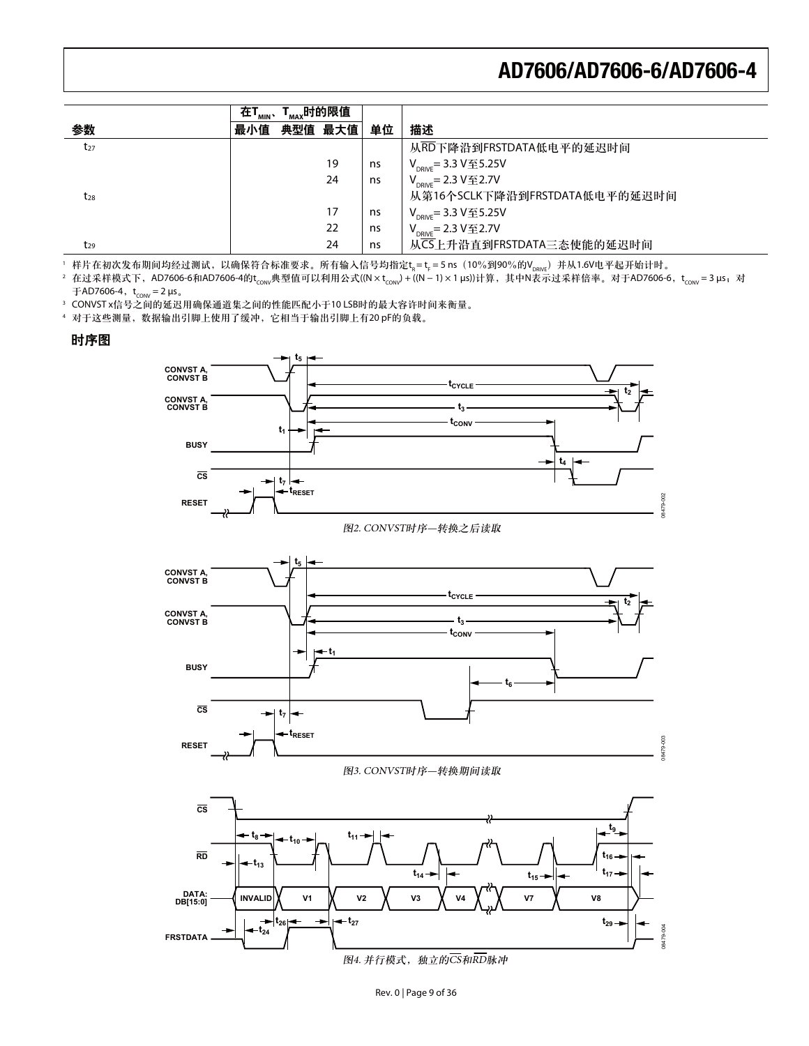|          | 在T <sub>MIN</sub> 、 | T <sub>мах</sub> 时的限值 |         |    |                                   |
|----------|---------------------|-----------------------|---------|----|-----------------------------------|
| 参数       | 最小值                 |                       | 典型值 最大值 | 单位 | 描述                                |
| $t_{27}$ |                     |                       |         |    | 从RD下降沿到FRSTDATA低电平的延迟时间           |
|          |                     |                       | 19      | ns | $V_{DRIVE} = 3.3 V  \ 5.25 V$     |
|          |                     |                       | 24      | ns | $V_{DRIVE} = 2.3 V  \n\leq 2.7 V$ |
| $t_{28}$ |                     |                       |         |    | 从第16个SCLK下降沿到FRSTDATA低电平的延迟时间     |
|          |                     |                       | 17      | ns | $V_{DRIVE} = 3.3 V 4.5.25 V$      |
|          |                     |                       | 22      | ns | $V_{DRIVE} = 2.3 V 2.7 V$         |
| $t_{29}$ |                     |                       | 24      | ns | 从CS上升沿直到FRSTDATA三态使能的延迟时间         |

'样片在初次发布期间均经过测试,以确保符合标准要求。所有输入信号均指定t<sub>s</sub>=t<sub>r</sub>=5ns(10%到90%的V<sub>bRve</sub>)并从1.6V电平起开始计时。

<sup>2</sup> 在过采样模式下,AD7606-6和AD7606-4的t<sub>coNV</sub>典型值可以利用公式((N × t<sub>coNV</sub>) + ((N − 1) × 1 μs))计算,其中N表示过采样倍率。对于AD7606-6,t<sub>coNV</sub> = 3 μs;对  $\text{\emph{\textbf{F}}}$ AD7606-4,t $_{\text{\tiny{CONV}}}$  = 2 µs  $_{\circ}$ 

3 CONVST x信号之间的延迟用确保通道集之间的性能匹配小于10 LSB时的最大容许时间来衡量。

4 对于这些测量, 数据输出引脚上使用了缓冲, 它相当于输出引脚上有20 pF的负载。

#### 时序图

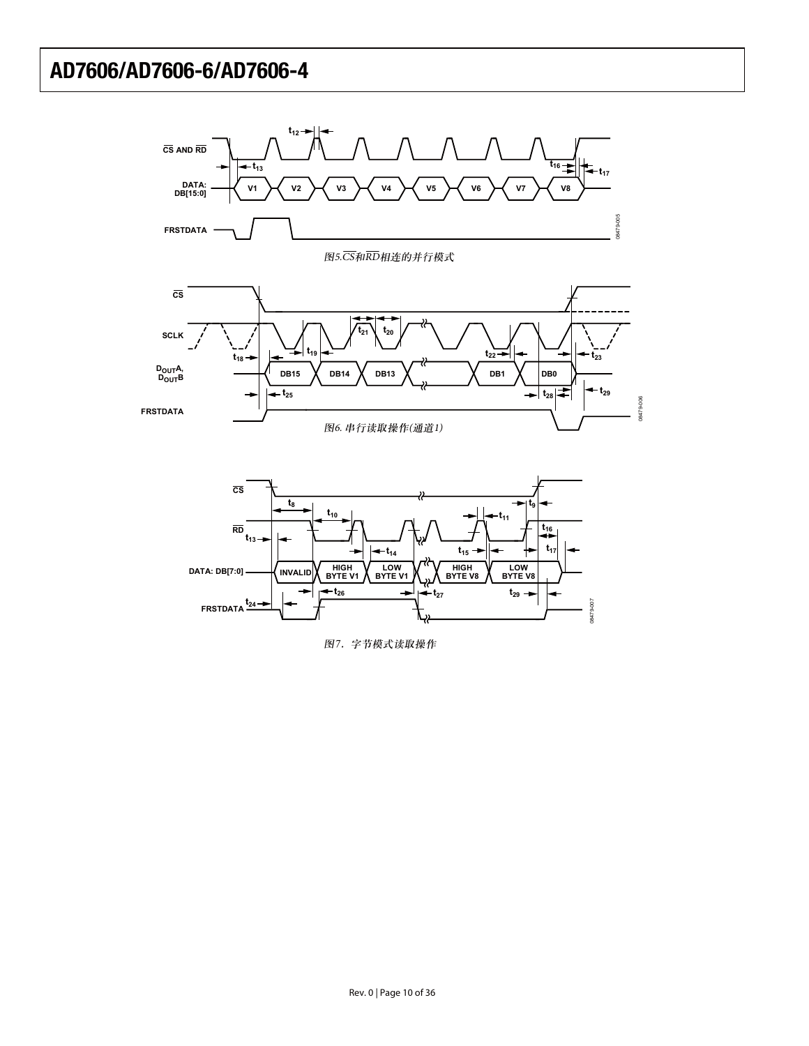

图7. 字节模式读取操作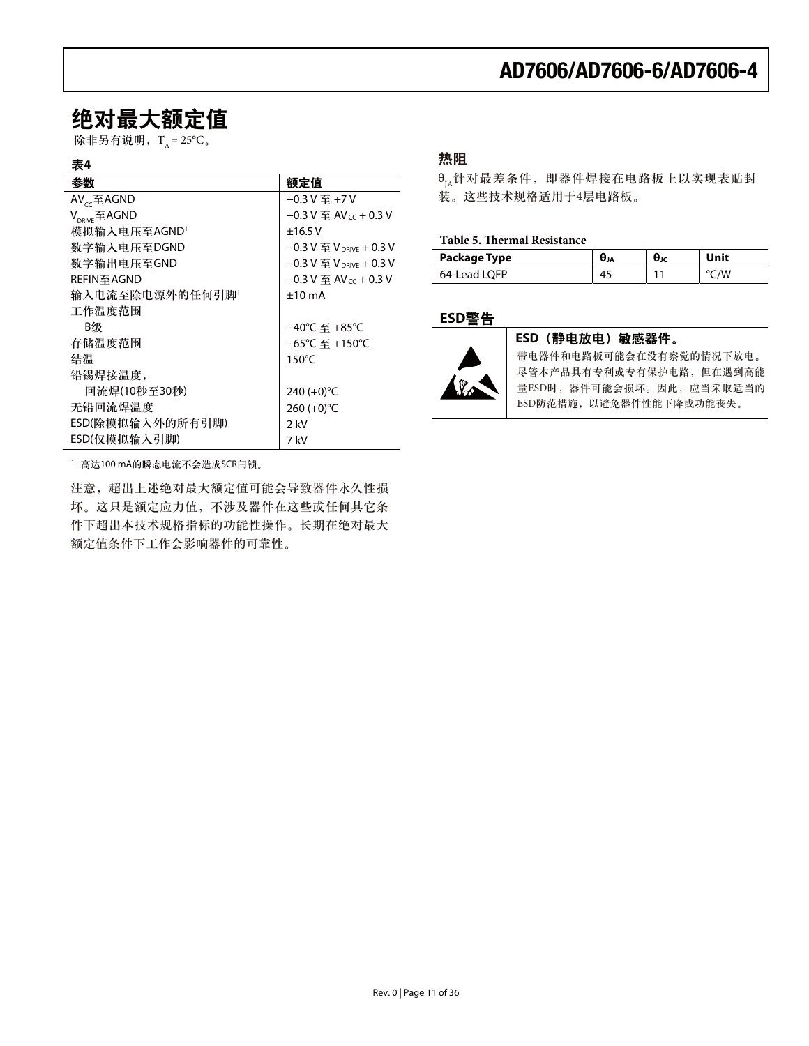### 绝对最大额定值

除非另有说明,  $T_A = 25^{\circ}C_{\circ}$ 

#### 表4

| 参数                                                         | 额定值                                                     |
|------------------------------------------------------------|---------------------------------------------------------|
| $AV_{cc} \underline{\mathfrak{F}}$ AGND                    | $-0.3$ V $\overline{4}$ +7 V                            |
| $V_{\text{DPL/E}}$ $\mathcal{\underline{\mathbf{F}}}$ AGND | $-0.3$ V $\overline{4}$ AV cc + 0.3 V                   |
| 模拟输入电压至AGND'                                               | ±16.5V                                                  |
| 数字输入电压至DGND                                                | $-0.3$ V $\overline{\mathfrak{D}}$ V $_{DRIVE}$ + 0.3 V |
| 数字输出电压至GND                                                 | $-0.3$ V $\overline{\mathfrak{D}}$ V $_{DRIVE}$ + 0.3 V |
| REFIN至AGND                                                 | $-0.3$ V $\overline{Y}$ AV $_{cc}$ + 0.3 V              |
| 输入电流至除电源外的任何引脚'                                            | $+10 \text{ mA}$                                        |
| 工作温度范围                                                     |                                                         |
| B级                                                         | –40℃ 至 +85℃                                             |
| 存储温度范围                                                     | $-65^{\circ}$ C 至 +150 $^{\circ}$ C                     |
| 结温                                                         | $150^{\circ}$ C                                         |
| 铅锡焊接温度,                                                    |                                                         |
| 回流焊(10秒至30秒)                                               | 240 (+0)°C                                              |
| 无铅回流焊温度                                                    | 260 $(+0)$ °C                                           |
| ESD(除模拟输入外的所有引脚)                                           | 2 kV                                                    |
| ESD(仅模拟输入引脚)                                               | 7 kV                                                    |

#### 热阻

 $\theta_{\text{IA}}$ 针对最差条件, 即器件焊接在电路板上以实现表贴封 装。这些技术规格适用于4层电路板。

#### **Table 5. Thermal Resistance**

| Package Type | σja | UJC | Unit |
|--------------|-----|-----|------|
| 64-Lead LOFP |     |     | w    |

#### ߢ**ESD**য়



#### **ESD** (静电放电) 敏感器件。

带电器件和电路板可能会在没有察觉的情况下放电。 尽管本产品具有专利或专有保护电路,但在遇到高能 量ESD时,器件可能会损坏。因此,应当采取适当的 ESD防范措施, 以避免器件性能下降或功能丧失。

1 高达100 mA的瞬态电流不会造成SCR闩锁。

注意, 超出上述绝对最大额定值可能会导致器件永久性损 坏。这只是额定应力值,不涉及器件在这些或任何其它条 件下超出本技术规格指标的功能性操作。长期在绝对最大 额定值条件下工作会影响器件的可靠性。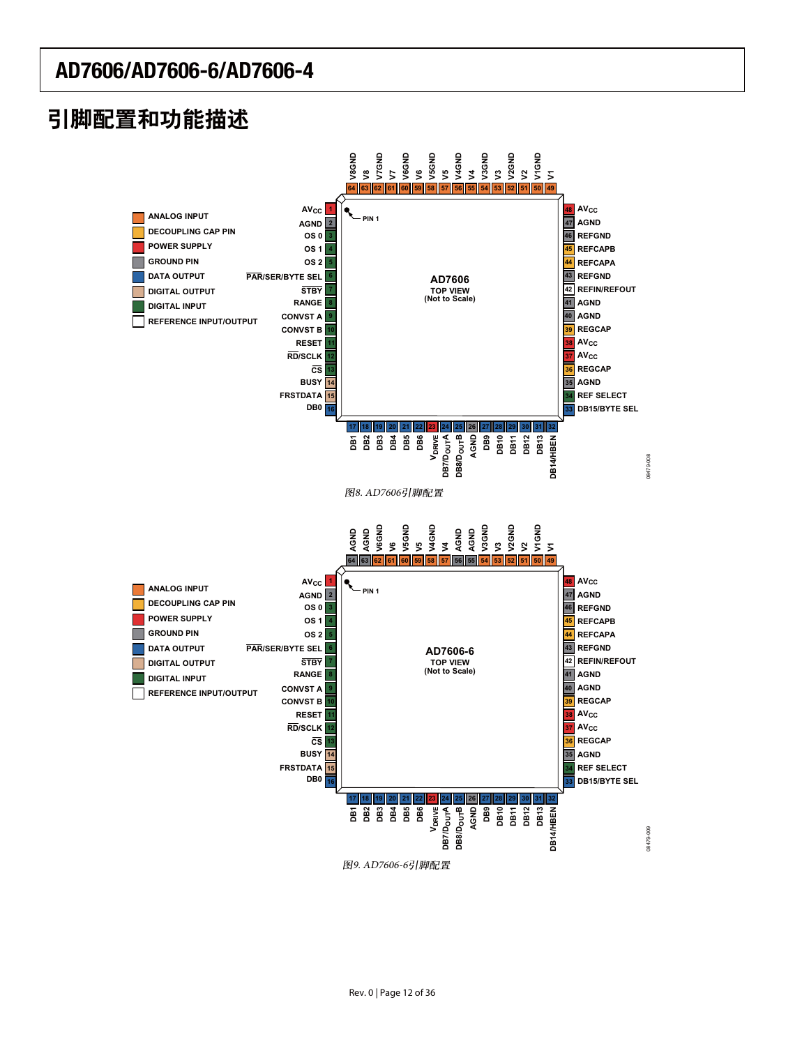# 引脚配置和功能描述

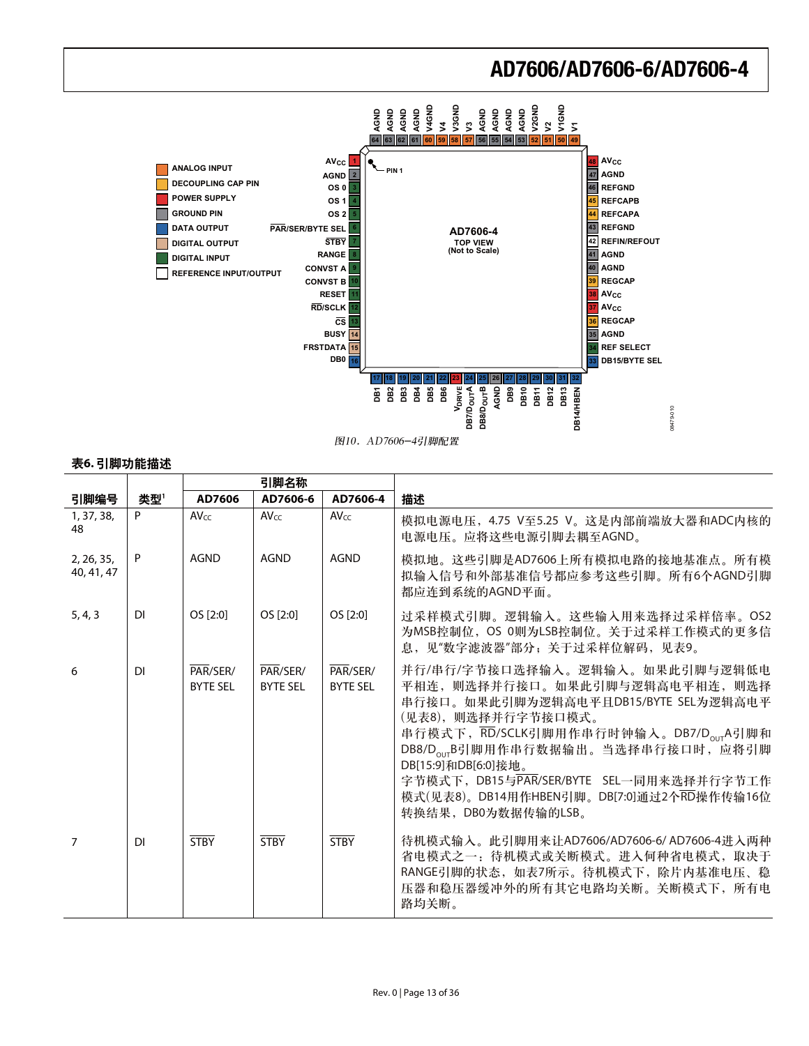

#### 表6. 引脚功能描述

|                          |           | 引脚名称                        |                             |                             |                                                                                                                                                                                                                                                                                                                                                                                 |
|--------------------------|-----------|-----------------------------|-----------------------------|-----------------------------|---------------------------------------------------------------------------------------------------------------------------------------------------------------------------------------------------------------------------------------------------------------------------------------------------------------------------------------------------------------------------------|
| 引脚编号                     | 类型'       | AD7606                      | AD7606-6                    | AD7606-4                    | 描述                                                                                                                                                                                                                                                                                                                                                                              |
| 1, 37, 38,<br>48         | P         | $AV_{CC}$                   | $AV_{CC}$                   | $AV_{CC}$                   | 模拟电源电压, 4.75 V至5.25 V。这是内部前端放大器和ADC内核的<br>电源电压。应将这些电源引脚去耦至AGND。                                                                                                                                                                                                                                                                                                                 |
| 2, 26, 35,<br>40, 41, 47 | P         | AGND                        | <b>AGND</b>                 | <b>AGND</b>                 | 模拟地。这些引脚是AD7606上所有模拟电路的接地基准点。所有模<br>拟输入信号和外部基准信号都应参考这些引脚。所有6个AGND引脚<br>都应连到系统的AGND平面。                                                                                                                                                                                                                                                                                           |
| 5, 4, 3                  | <b>DI</b> | OS [2:0]                    | OS [2:0]                    | OS [2:0]                    | 过采样模式引脚。逻辑输入。这些输入用来选择过采样倍率。OS2<br>为MSB控制位, OS 0则为LSB控制位。关于过采样工作模式的更多信<br>息,见"数字滤波器"部分,关于过采样位解码,见表9。                                                                                                                                                                                                                                                                             |
| 6                        | <b>DI</b> | PAR/SER/<br><b>BYTE SEL</b> | PAR/SER/<br><b>BYTE SEL</b> | PAR/SER/<br><b>BYTE SEL</b> | 并行/串行/字节接口选择输入。逻辑输入。如果此引脚与逻辑低电<br>平相连, 则选择并行接口。如果此引脚与逻辑高电平相连, 则选择<br>串行接口。如果此引脚为逻辑高电平且DB15/BYTE SEL为逻辑高电平<br>(见表8),则选择并行字节接口模式。<br>串行模式下, RD/SCLK引脚用作串行时钟输入。DB7/D <sub>our</sub> A引脚和<br>DB8/D <sub>our</sub> B引脚用作串行数据输出。当选择串行接口时, 应将引脚<br>DB[15:9]和DB[6:0]接地。<br>字节模式下, DB15与PAR/SER/BYTE SEL一同用来选择并行字节工作<br>模式(见表8)。DB14用作HBEN引脚。DB[7:0]通过2个RD操作传输16位<br>转换结果, DB0为数据传输的LSB。 |
| 7                        | DI        | <b>STRY</b>                 | <b>STRY</b>                 | <b>STRY</b>                 | 待机模式输入。此引脚用来让AD7606/AD7606-6/AD7606-4进入两种<br>省电模式之一:待机模式或关断模式。进入何种省电模式,取决于<br>RANGE引脚的状态, 如表7所示。待机模式下, 除片内基准电压、稳<br>压器和稳压器缓冲外的所有其它电路均关断。关断模式下, 所有电<br>路均关断。                                                                                                                                                                                                                     |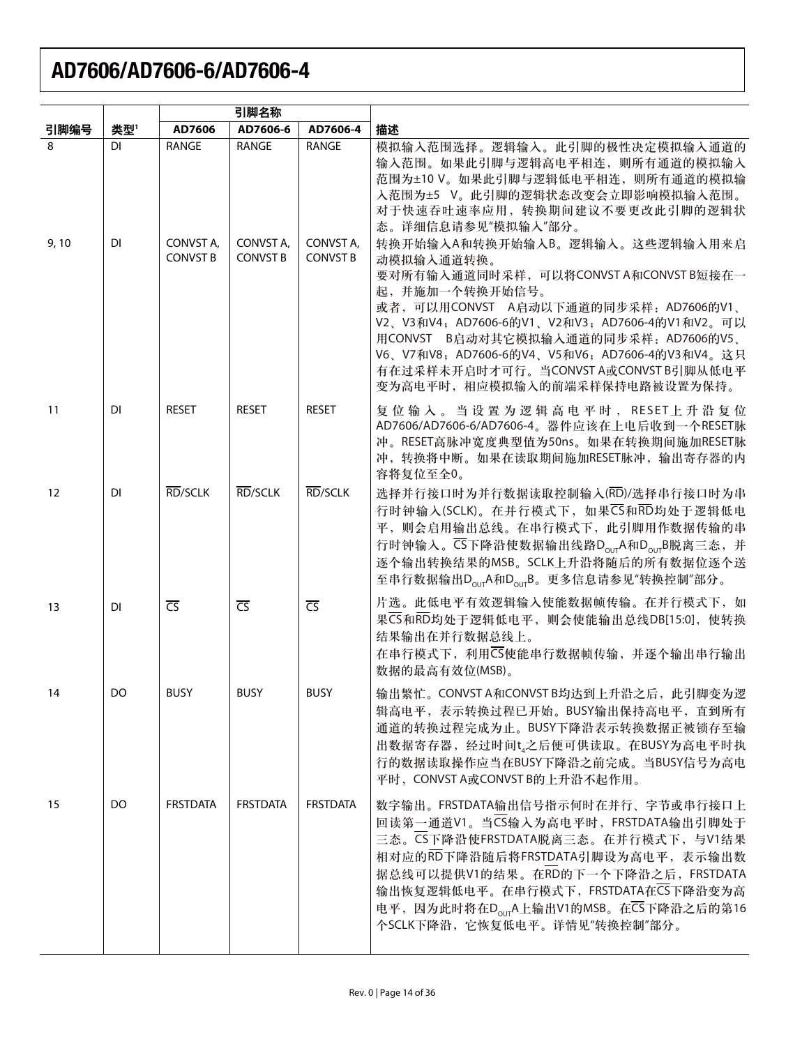|                   |                 | 引脚名称                                  |                                       |                                       |                                                                                                                                                                                                                                                                                                                                                                                                                                                                                                                                                                           |
|-------------------|-----------------|---------------------------------------|---------------------------------------|---------------------------------------|---------------------------------------------------------------------------------------------------------------------------------------------------------------------------------------------------------------------------------------------------------------------------------------------------------------------------------------------------------------------------------------------------------------------------------------------------------------------------------------------------------------------------------------------------------------------------|
| 引脚编号              | 类型'             | AD7606                                | AD7606-6                              | AD7606-4                              | 描述                                                                                                                                                                                                                                                                                                                                                                                                                                                                                                                                                                        |
| 8<br>9,10         | <b>DI</b><br>DI | RANGE<br>CONVST A,<br><b>CONVST B</b> | RANGE<br>CONVST A,<br><b>CONVST B</b> | RANGE<br>CONVST A,<br><b>CONVST B</b> | 模拟输入范围选择。逻辑输入。此引脚的极性决定模拟输入通道的<br>输入范围。如果此引脚与逻辑高电平相连,则所有通道的模拟输入<br>范围为±10 V。如果此引脚与逻辑低电平相连,则所有通道的模拟输<br>入范围为±5 V。此引脚的逻辑状态改变会立即影响模拟输入范围。<br>对于快速吞吐速率应用, 转换期间建议不要更改此引脚的逻辑状<br>态。详细信息请参见"模拟输入"部分。<br>转换开始输入A和转换开始输入B。逻辑输入。这些逻辑输入用来启<br>动模拟输入通道转换。<br>要对所有输入通道同时采样, 可以将CONVST A和CONVST B短接在一<br>起,并施加一个转换开始信号。<br>或者,可以用CONVST A启动以下通道的同步采样: AD7606的V1、<br>V2、V3和V4; AD7606-6的V1、V2和V3; AD7606-4的V1和V2。可以<br>用CONVST B启动对其它模拟输入通道的同步采样: AD7606的V5、<br>V6、V7和V8; AD7606-6的V4、V5和V6; AD7606-4的V3和V4。这只<br>有在过采样未开启时才可行。当CONVST A或CONVST B引脚从低电平<br>变为高电平时, 相应模拟输入的前端采样保持电路被设置为保持。 |
| 11                | <b>DI</b>       | <b>RESET</b>                          | <b>RESET</b>                          | <b>RESET</b>                          | 复位输入。当设置为逻辑高电平时, RESET上升沿复位<br>AD7606/AD7606-6/AD7606-4。器件应该在上电后收到一个RESET脉<br>冲。RESET高脉冲宽度典型值为50ns。如果在转换期间施加RESET脉<br>冲, 转换将中断。如果在读取期间施加RESET脉冲, 输出寄存器的内<br>容将复位至全0。                                                                                                                                                                                                                                                                                                                                                                                                      |
| $12 \overline{ }$ | <b>DI</b>       | RD/SCLK                               | RD/SCLK                               | RD/SCLK                               | 选择并行接口时为并行数据读取控制输入(RD)/选择串行接口时为串<br>行时钟输入(SCLK)。在并行模式下, 如果CS和RD均处于逻辑低电<br>平, 则会启用输出总线。在串行模式下, 此引脚用作数据传输的串<br>行时钟输入。CS下降沿使数据输出线路D <sub>our</sub> A和D <sub>our</sub> B脱离三态, 并<br>逐个输出转换结果的MSB。SCLK上升沿将随后的所有数据位逐个送<br>至串行数据输出D <sub>our</sub> A和D <sub>our</sub> B。更多信息请参见"转换控制"部分。                                                                                                                                                                                                                                                                                          |
| 13                | DI              | $\overline{\text{CS}}$                | $\overline{CS}$                       | $\overline{\text{CS}}$                | 片选。此低电平有效逻辑输入使能数据帧传输。在并行模式下, 如<br>果CS和RD均处于逻辑低电平, 则会使能输出总线DB[15:0], 使转换<br>结果输出在并行数据总线上。<br>在串行模式下, 利用CS使能串行数据帧传输, 并逐个输出串行输出<br>数据的最高有效位(MSB)。                                                                                                                                                                                                                                                                                                                                                                                                                            |
| -14               | DO.             | <b>BUSY</b>                           | <b>BUSY</b>                           | <b>BUSY</b>                           | 输出繁忙。CONVST A和CONVST B均达到上升沿之后, 此引脚变为逻<br>辑高电平,表示转换过程已开始。BUSY输出保持高电平,直到所有<br>通道的转换过程完成为止。BUSY下降沿表示转换数据正被锁存至输<br>出数据寄存器, 经过时间t』之后便可供读取。在BUSY为高电平时执<br>行的数据读取操作应当在BUSY下降沿之前完成。当BUSY信号为高电<br>平时, CONVST A或CONVST B的上升沿不起作用。                                                                                                                                                                                                                                                                                                                                                  |
| 15                | DO              | <b>FRSTDATA</b>                       | <b>FRSTDATA</b>                       | <b>FRSTDATA</b>                       | 数字输出。FRSTDATA输出信号指示何时在并行、字节或串行接口上<br>回读第一通道V1。当CS输入为高电平时, FRSTDATA输出引脚处于<br>三态。CS下降沿使FRSTDATA脱离三态。在并行模式下, 与V1结果<br>相对应的RD下降沿随后将FRSTDATA引脚设为高电平, 表示输出数<br>据总线可以提供V1的结果。在RD的下一个下降沿之后, FRSTDATA<br>输出恢复逻辑低电平。在串行模式下, FRSTDATA在CS下降沿变为高<br>电平, 因为此时将在D <sub>our</sub> A上输出V1的MSB。在CS下降沿之后的第16<br>个SCLK下降沿, 它恢复低电平。详情见"转换控制"部分。                                                                                                                                                                                                                                                |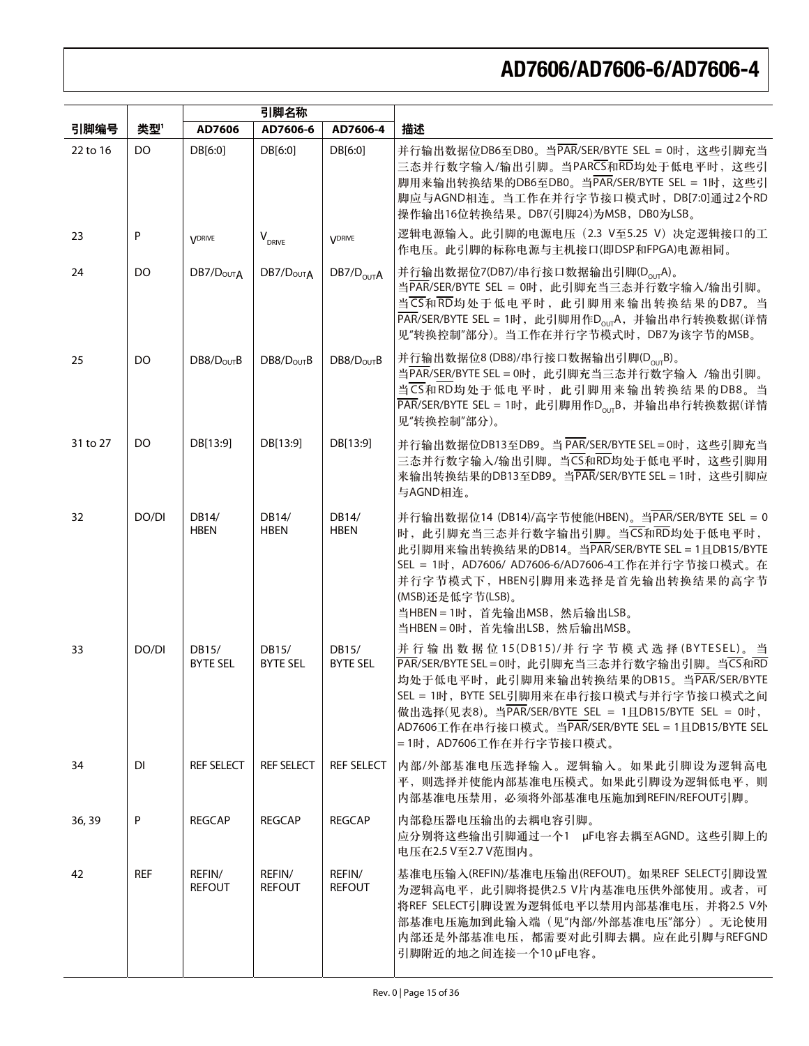|          |            | 引脚名称                     |                                  |                          |                                                                                                                                                                                                                                                                                                                                                                                                                                                                                                                                                                    |
|----------|------------|--------------------------|----------------------------------|--------------------------|--------------------------------------------------------------------------------------------------------------------------------------------------------------------------------------------------------------------------------------------------------------------------------------------------------------------------------------------------------------------------------------------------------------------------------------------------------------------------------------------------------------------------------------------------------------------|
| 引脚编号     | 类型'        | AD7606                   | AD7606-6                         | AD7606-4                 | 描述                                                                                                                                                                                                                                                                                                                                                                                                                                                                                                                                                                 |
| 22 to 16 | DO.        | DB[6:0]                  | DB[6:0]                          | DB[6:0]                  | 并行输出数据位DB6至DB0。当PAR/SER/BYTE SEL = 0时, 这些引脚充当<br>三态并行数字输入/输出引脚。当PARCS和RD均处于低电平时, 这些引<br>脚用来输出转换结果的DB6至DB0。当PAR/SER/BYTE SEL = 1时, 这些引<br>脚应与AGND相连。当工作在并行字节接口模式时, DB[7:0]通过2个RD<br>操作输出16位转换结果。DB7(引脚24)为MSB, DB0为LSB。                                                                                                                                                                                                                                                                                                                                             |
| 23       | P          | <b>VDRIVE</b>            | $\mathsf{V}_{_{\mathsf{DRIVE}}}$ | <b>VDRIVE</b>            | 逻辑电源输入。此引脚的电源电压 (2.3 V至5.25 V) 决定逻辑接口的工<br>作电压。此引脚的标称电源与主机接口(即DSP和FPGA)电源相同。                                                                                                                                                                                                                                                                                                                                                                                                                                                                                       |
| 24       | DO         | DB7/D <sub>OUTA</sub>    | DB7/D <sub>OUTA</sub>            | DB7/D <sub>OUT</sub> A   | 并行输出数据位7(DB7)/串行接口数据输出引脚(D <sub>our</sub> A)。<br>当PAR/SER/BYTE SEL = 0时, 此引脚充当三态并行数字输入/输出引脚。<br>当CS和RD均处于低电平时, 此引脚用来输出转换结果的DB7。当<br>$\overline{PAR}/\overline{SER}/\overline{B}$ $\overline{F}$ $\overline{F}$ $\overline{F}$ $\overline{F}$ $\overline{F}$ $\overline{F}$ $\overline{F}$ $\overline{F}$ $\overline{F}$ $\overline{F}$ $\overline{F}$ $\overline{F}$ $\overline{F}$ $\overline{F}$ $\overline{F}$ $\overline{F}$ $\overline{F}$ $\overline{F}$ $\overline{F}$ $\overline{F}$ $\overline{F}$ $\overline{F}$<br>见"转换控制"部分)。当工作在并行字节模式时, DB7为该字节的MSB。 |
| 25       | DO.        | DB8/D <sub>OUT</sub> B   | DB8/D <sub>OUT</sub> B           | DB8/D <sub>OUT</sub> B   | 并行输出数据位8 (DB8)/串行接口数据输出引脚(DourB)。<br>当PAR/SER/BYTE SEL = 0时, 此引脚充当三态并行数字输入 /输出引脚。<br>当CS和RD均处于低电平时, 此引脚用来输出转换结果的DB8。当<br>$\overline{PAR}/SER/BYTE SEL = 1$ 时, 此引脚用作 $D_{OUT}B$ , 并输出串行转换数据(详情<br>见"转换控制"部分)。                                                                                                                                                                                                                                                                                                                                                       |
| 31 to 27 | DO         | DB[13:9]                 | DB[13:9]                         | DB[13:9]                 | 并行输出数据位DB13至DB9。当 PAR/SER/BYTE SEL = 0时, 这些引脚充当<br>三态并行数字输入/输出引脚。当CS和RD均处于低电平时,这些引脚用<br>来输出转换结果的DB13至DB9。当PAR/SER/BYTE SEL = 1时, 这些引脚应<br>与AGND相连。                                                                                                                                                                                                                                                                                                                                                                                                                 |
| 32       | DO/DI      | DB14/<br><b>HBEN</b>     | DB14/<br><b>HBEN</b>             | DB14/<br><b>HBEN</b>     | 并行输出数据位14 (DB14)/高字节使能(HBEN)。当PAR/SER/BYTE SEL = 0<br>时, 此引脚充当三态并行数字输出引脚。当CS和RD均处于低电平时,<br>此引脚用来输出转换结果的DB14。当PAR/SER/BYTE SEL = 1且DB15/BYTE<br>SEL = 1时, AD7606/ AD7606-6/AD7606-4工作在并行字节接口模式。在<br>并行字节模式下, HBEN引脚用来选择是首先输出转换结果的高字节<br>(MSB)还是低字节(LSB)。<br>当HBEN = 1时, 首先输出MSB, 然后输出LSB。<br>当HBEN = 0时, 首先输出LSB, 然后输出MSB。                                                                                                                                                                                                                                          |
| 33       | DO/DI      | DB15/<br><b>BYTE SEL</b> | DB15/<br><b>BYTE SEL</b>         | DB15/<br><b>BYTE SEL</b> | 并行输出数据位15(DB15)/并行字节模式选择(BYTESEL)。当<br>PAR/SER/BYTE SEL = 0时, 此引脚充当三态并行数字输出引脚。当CS和RD<br>均处于低电平时, 此引脚用来输出转换结果的DB15。当PAR/SER/BYTE<br>SEL = 1时, BYTE SEL引脚用来在串行接口模式与并行字节接口模式之间<br>做出选择(见表8)。当PAR/SER/BYTE SEL = 1且DB15/BYTE SEL = 0时,<br>AD7606工作在串行接口模式。当PAR/SER/BYTE SEL = 1且DB15/BYTE SEL<br>=1时, AD7606工作在并行字节接口模式。                                                                                                                                                                                                                                               |
| 34       | <b>DI</b>  | <b>REF SELECT</b>        | <b>REF SELECT</b>                |                          | REF SELECT  内部/外部基准电压选择输入。逻辑输入。如果此引脚设为逻辑高电<br>平,则选择并使能内部基准电压模式。如果此引脚设为逻辑低电平,则<br>内部基准电压禁用, 必须将外部基准电压施加到REFIN/REFOUT引脚。                                                                                                                                                                                                                                                                                                                                                                                                                                             |
| 36, 39   | P          | <b>REGCAP</b>            | <b>REGCAP</b>                    | <b>REGCAP</b>            | 内部稳压器电压输出的去耦电容引脚。<br>应分别将这些输出引脚通过一个1 μF电容去耦至AGND。这些引脚上的<br>电压在2.5 V至2.7 V范围内。                                                                                                                                                                                                                                                                                                                                                                                                                                                                                      |
| 42       | <b>REF</b> | REFIN/<br><b>REFOUT</b>  | REFIN/<br><b>REFOUT</b>          | REFIN/<br><b>REFOUT</b>  | 基准电压输入(REFIN)/基准电压输出(REFOUT)。如果REF SELECT引脚设置<br>为逻辑高电平, 此引脚将提供2.5 V片内基准电压供外部使用。或者, 可<br>将REF SELECT引脚设置为逻辑低电平以禁用内部基准电压, 并将2.5 V外<br>部基准电压施加到此输入端(见"内部/外部基准电压"部分)。无论使用<br>内部还是外部基准电压,都需要对此引脚去耦。应在此引脚与REFGND<br>引脚附近的地之间连接一个10 µF电容。                                                                                                                                                                                                                                                                                                                                |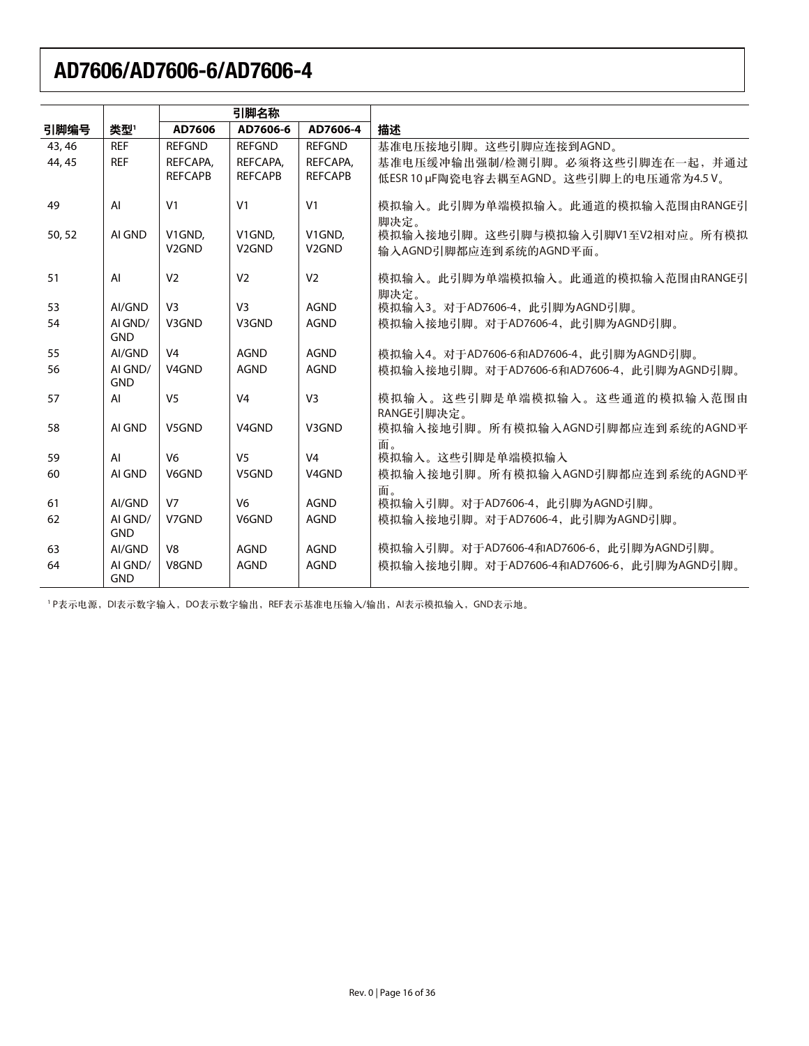|        |                       | 引脚名称               |                    |                    |                                             |
|--------|-----------------------|--------------------|--------------------|--------------------|---------------------------------------------|
| 引脚编号   | 类型'                   | AD7606             | AD7606-6           | AD7606-4           | 描述                                          |
| 43, 46 | <b>REF</b>            | <b>REFGND</b>      | <b>REFGND</b>      | <b>REFGND</b>      | 基准电压接地引脚。这些引脚应连接到AGND。                      |
| 44, 45 | <b>REF</b>            | REFCAPA,           | REFCAPA,           | REFCAPA,           | 基准电压缓冲输出强制/检测引脚。必须将这些引脚连在一起, 并通过            |
|        |                       | <b>REFCAPB</b>     | <b>REFCAPB</b>     | <b>REFCAPB</b>     | 低ESR 10 µF陶瓷电容去耦至AGND。这些引脚上的电压通常为4.5 V。     |
| 49     | AI                    | V <sub>1</sub>     | V <sub>1</sub>     | V <sub>1</sub>     | 模拟输入。此引脚为单端模拟输入。此通道的模拟输入范围由RANGE引<br>脚决定。   |
| 50, 52 | AI GND                | V1GND.             | V1GND.             | V1GND.             | 模拟输入接地引脚。这些引脚与模拟输入引脚V1至V2相对应。所有模拟           |
|        |                       | V <sub>2</sub> GND | V <sub>2</sub> GND | V <sub>2GND</sub>  | 输入AGND引脚都应连到系统的AGND平面。                      |
| 51     | AI                    | V <sub>2</sub>     | V <sub>2</sub>     | V <sub>2</sub>     | 模拟输入。此引脚为单端模拟输入。此通道的模拟输入范围由RANGE引           |
| 53     | AI/GND                | V <sub>3</sub>     | V <sub>3</sub>     | <b>AGND</b>        | 脚决定。<br>模拟输入3。对于AD7606-4, 此引脚为AGND引脚。       |
| 54     | AI GND/               | V3GND              | V3GND              | <b>AGND</b>        | 模拟输入接地引脚。对于AD7606-4, 此引脚为AGND引脚。            |
|        | <b>GND</b>            |                    |                    |                    |                                             |
| 55     | AI/GND                | V <sub>4</sub>     | <b>AGND</b>        | <b>AGND</b>        | 模拟输入4。对于AD7606-6和AD7606-4, 此引脚为AGND引脚。      |
| 56     | AI GND/<br><b>GND</b> | V <sub>4</sub> GND | <b>AGND</b>        | <b>AGND</b>        | 模拟输入接地引脚。对于AD7606-6和AD7606-4, 此引脚为AGND引脚。   |
| 57     | AI                    | V <sub>5</sub>     | V <sub>4</sub>     | V <sub>3</sub>     | 模拟输入。这些引脚是单端模拟输入。这些通道的模拟输入范围由<br>RANGE引脚决定。 |
| 58     | AI GND                | V5GND              | V <sub>4</sub> GND | V3GND              | 模拟输入接地引脚。所有模拟输入AGND引脚都应连到系统的AGND平           |
| 59     | AI                    | V <sub>6</sub>     | V <sub>5</sub>     | V <sub>4</sub>     | 面。<br>模拟输入。这些引脚是单端模拟输入                      |
| 60     | AI GND                | <b>V6GND</b>       | V5GND              | V <sub>4</sub> GND | 模拟输入接地引脚。所有模拟输入AGND引脚都应连到系统的AGND平           |
|        |                       |                    |                    |                    | 面。                                          |
| 61     | AI/GND                | V <sub>7</sub>     | V <sub>6</sub>     | <b>AGND</b>        | 模拟输入引脚。对于AD7606-4, 此引脚为AGND引脚。              |
| 62     | AI GND/<br><b>GND</b> | V7GND              | V6GND              | <b>AGND</b>        | 模拟输入接地引脚。对于AD7606-4, 此引脚为AGND引脚。            |
| 63     | AI/GND                | V <sub>8</sub>     | <b>AGND</b>        | <b>AGND</b>        | 模拟输入引脚。对于AD7606-4和AD7606-6, 此引脚为AGND引脚。     |
| 64     | AI GND/<br><b>GND</b> | V8GND              | <b>AGND</b>        | <b>AGND</b>        | 模拟输入接地引脚。对于AD7606-4和AD7606-6, 此引脚为AGND引脚。   |

'P表示也源,DI表示数字输入,DO表示数字输出,REF表示基准电压输入/输出,AI表示模拟输入,GND表示地。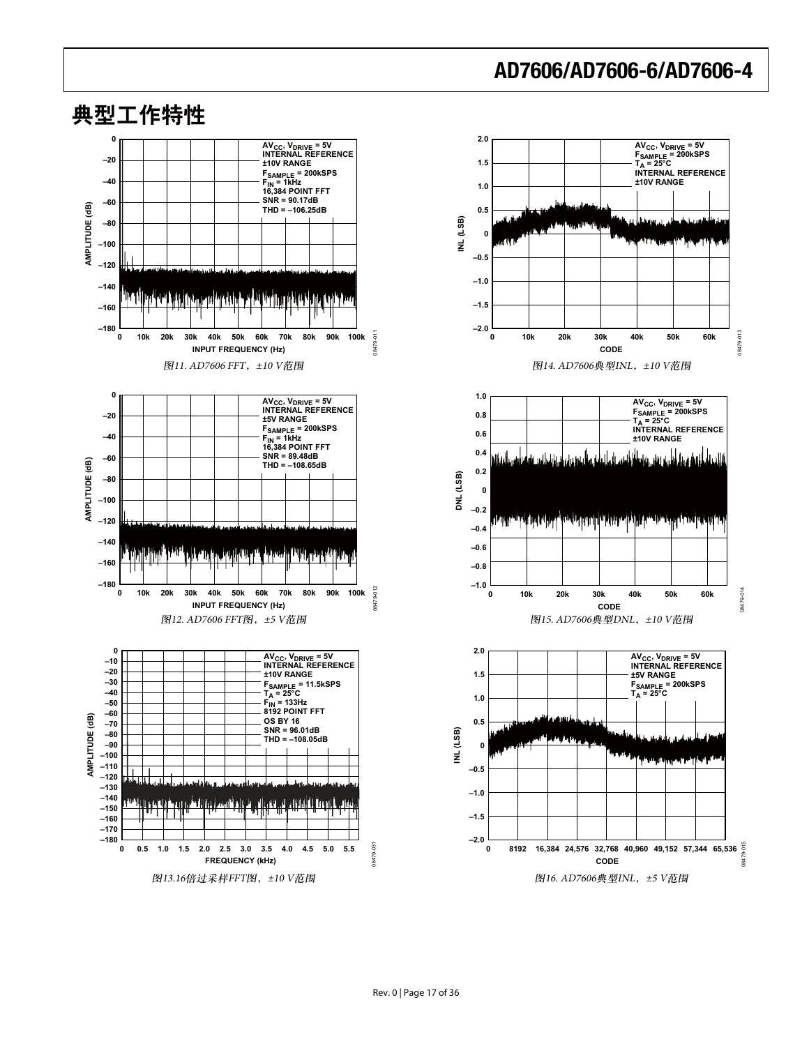

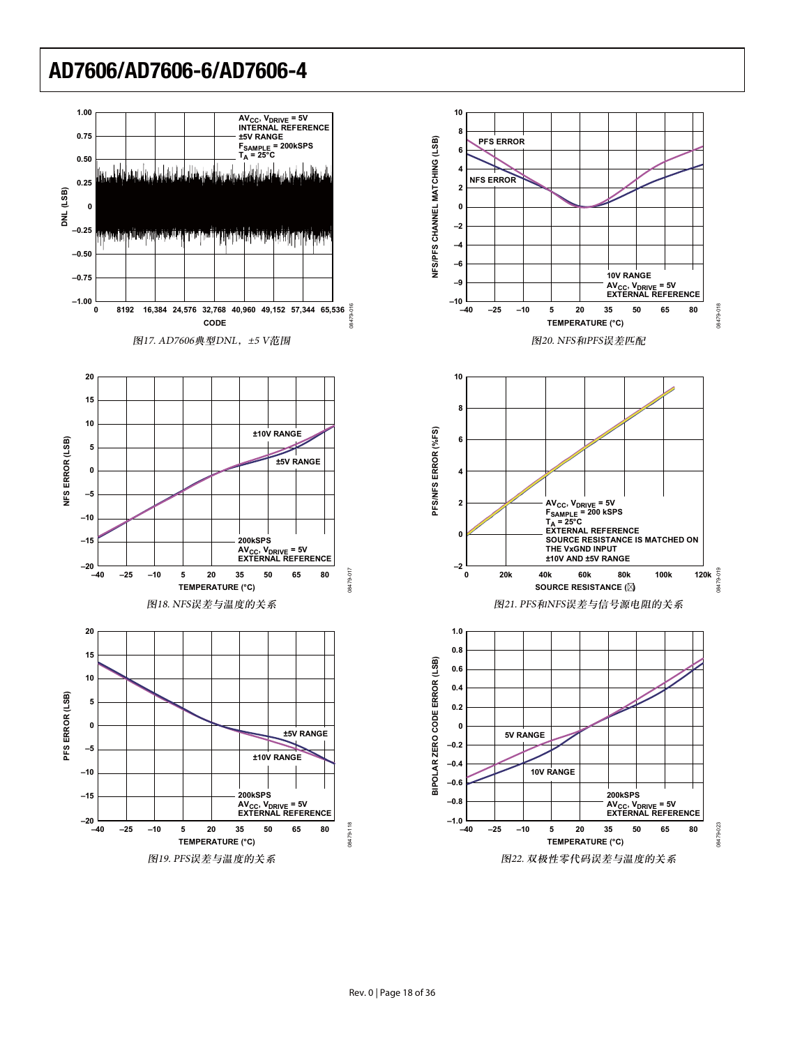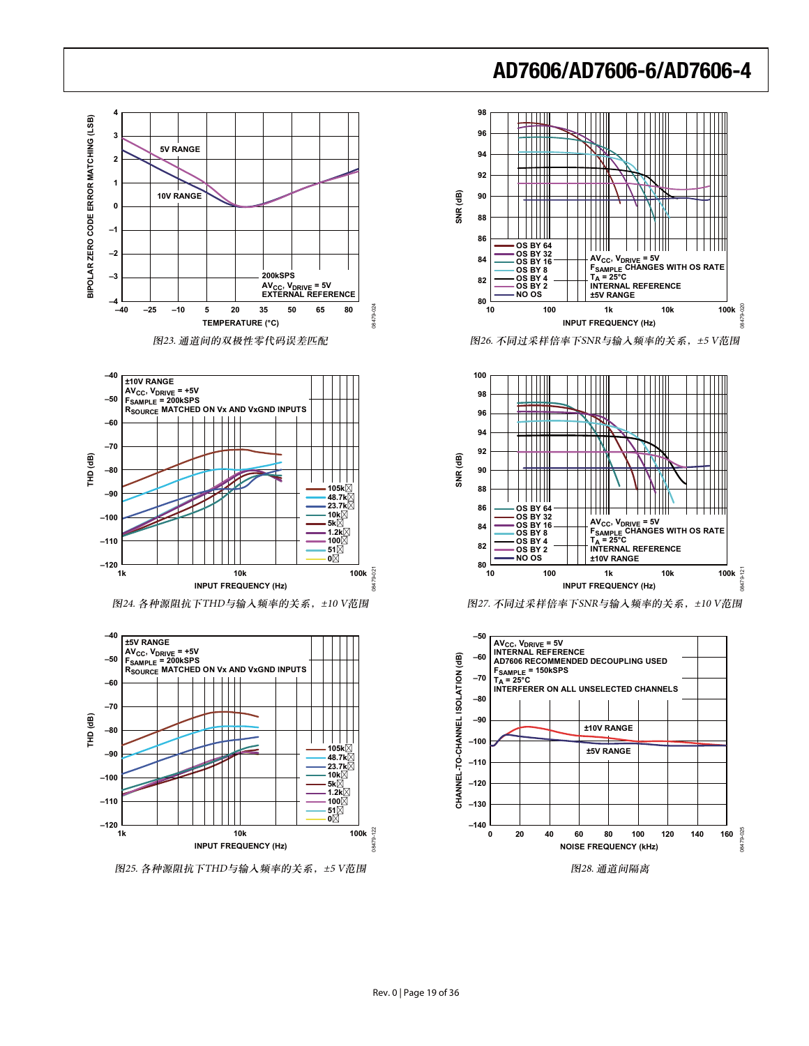







图25. 各种源阻抗下THD与输入频率的关系, ±5 V范围



图26. 不同过采样倍率下SNR与输入频率的关系, ±5 V范围



图27. 不同过采样倍率下SNR与输入频率的关系, ±10 V范围

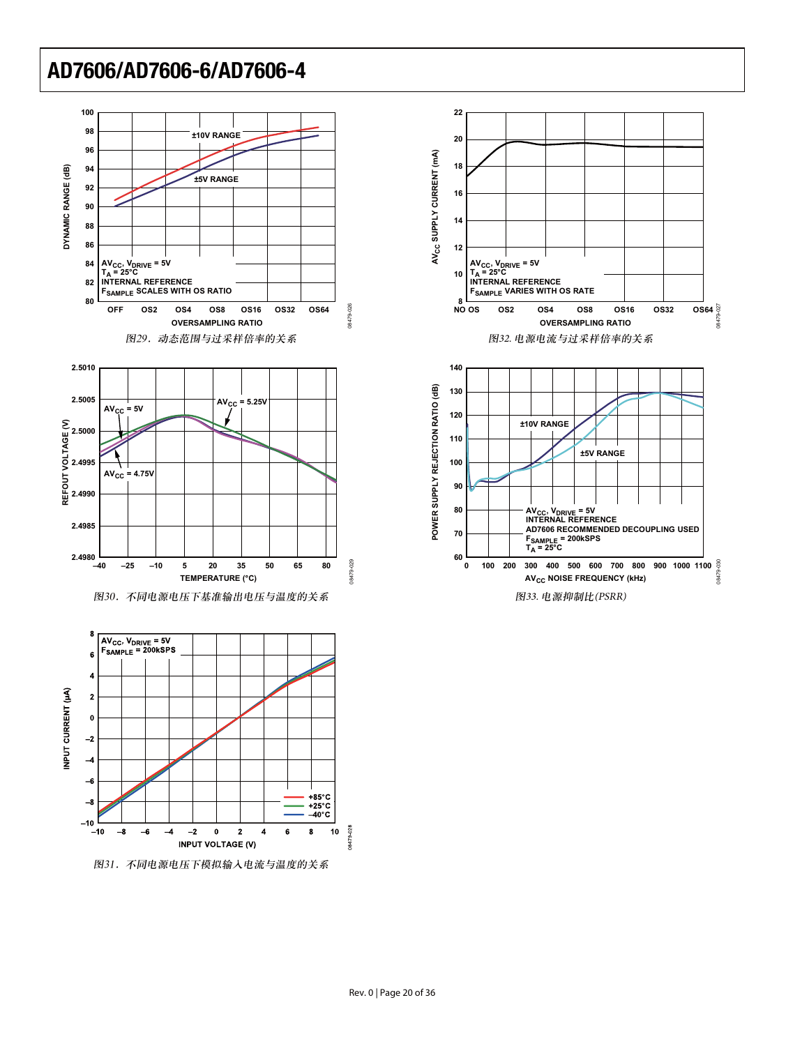

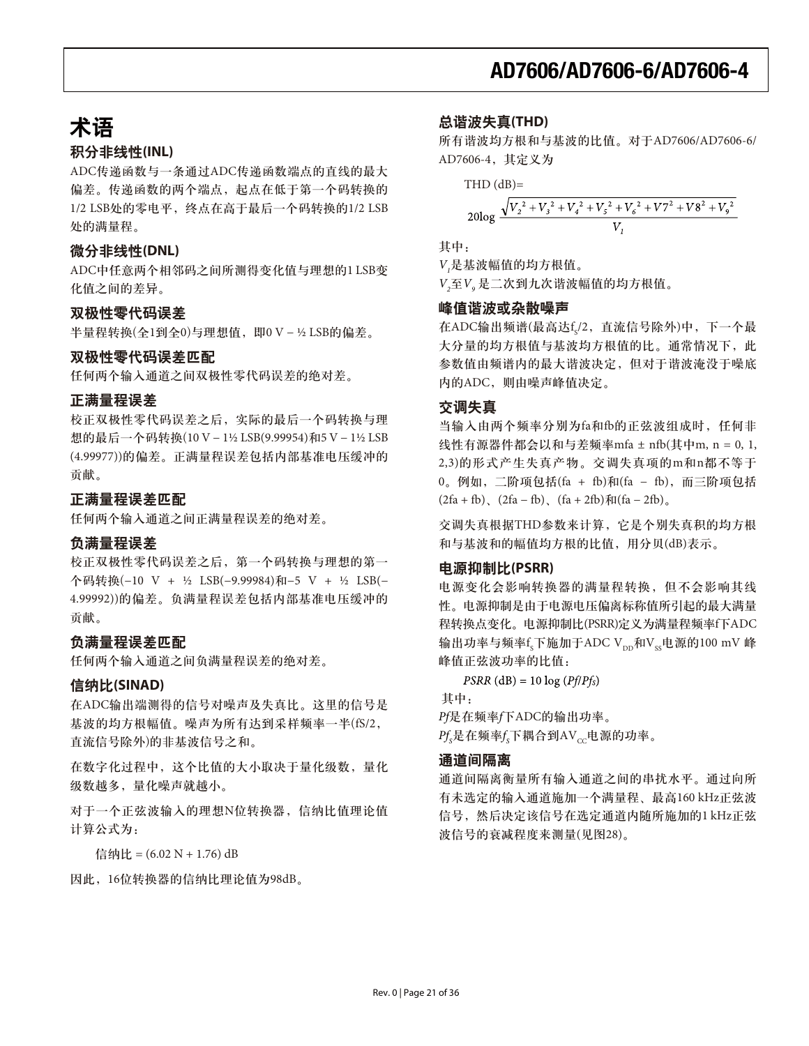# 术语

#### 积分非线性(INL)

ADC传递函数与一条通过ADC传递函数端点的直线的最大 偏差。传递函数的两个端点, 起点在低于第一个码转换的 1/2 LSB处的零电平, 终点在高干最后一个码转换的1/2 LSB 处的满量程。

#### **微分非线性(DNL)**

ADC中任意两个相邻码之间所测得变化值与理想的1 LSB变 化值之间的差异。

#### 双极性零代码误差

半量程转换(全1到全0)与理想值, 即0 V - ½ LSB的偏差。

#### 双极性零代码误差匹配

任何两个输入通道之间双极性零代码误差的绝对差。

#### 正满量程误差

校正双极性零代码误差之后, 实际的最后一个码转换与理 想的最后一个码转换(10 V − 1½ LSB(9.99954)和5 V − 1½ LSB (4.99977))的偏差。正满量程误差包括内部基准电压缓冲的 贡献。

#### 正满量程误差匹配

任何两个输入通道之间正满量程误差的绝对差。

#### 负满量程误差

校正双极性零代码误差之后, 第一个码转换与理想的第一 ߲ஓገ࣑(−10 V + ½ LSB(−9.99984)ࢅ−5 V + ½ LSB(− 4.99992))的偏差。负满量程误差包括内部基准电压缓冲的 贡献。

#### 负满量程误差匹配

任何两个输入通道之间负满量程误差的绝对差。

#### 信纳比(SINAD)

在ADC输出端测得的信号对噪声及失真比。这里的信号是 基波的均方根幅值。噪声为所有达到采样频率一半(fS/2, 直流信号除外)的非基波信号之和。

在数字化过程中,这个比值的大小取决于量化级数,量化 级数越多,量化噪声就越小。

对于一个正弦波输入的理想N位转换器, 信纳比值理论值 计算公式为:

信纳比 = (6.02 N + 1.76) dB

因此, 16位转换器的信纳比理论值为98dB。

#### ጺၿհ฿ኈ**(THD)**

所有谐波均方根和与基波的比值。对于AD7606/AD7606-6/ AD7606-4, 其定义为

 $THD$  ( $dB$ )=

$$
20\log \frac{\sqrt{V_2^2 + V_3^2 + V_4^2 + V_5^2 + V_6^2 + V7^2 + V8^2 + V_9^2}}{V_1}
$$

其中:

 $V<sub>1</sub>$ 是基波幅值的均方根值。

 $V_2 \boxtimes V$ , 是二次到九次谐波幅值的均方根值。

#### 峰值谐波或杂散噪声

在ADC输出频谱(最高达fs/2, 直流信号除外)中, 下一个最 大分量的均方根值与基波均方根值的比。通常情况下, 此 参数值由频谱内的最大谐波决定,但对于谐波淹没于噪底 内的ADC,则由噪声峰值决定。

#### 交调失真

当输入由两个频率分别为fa和fb的正弦波组成时,任何非 线性有源器件都会以和与差频率mfa ± nfb(其中m, n = 0, 1, 2,3)的形式产生失真产物。交调失真项的m和n都不等于 0。例如, 二阶项包括(fa + fb)和(fa - fb), 而三阶项包括  $(2fa + fb)$ ,  $(2fa - fb)$ ,  $(fa + 2fb)$  $\frac{\pi}{6}(fa - 2fb)$ <sub>o</sub>

交调失真根据THD参数来计算, 它是个别失真积的均方根 和与基波和的幅值均方根的比值,用分贝(dB)表示。

#### **电源抑制比(PSRR)**

电源变化会影响转换器的满量程转换,但不会影响其线 性。电源抑制是由于电源电压偏离标称值所引起的最大满量 程转换点变化。电源抑制比(PSRR)定义为满量程频率f下ADC 输出功率与频率f<sub>s</sub>下施加于ADC V<sub>pp</sub>和V<sub>ss</sub>电源的100 mV 峰 峰值正弦波功率的比值:

 $PSRR$  (dB) = 10 log ( $Pf/Pf_s$ ) 其中:

Pf是在频率f下ADC的输出功率。  $Pf_s$ 是在频率 $f_s$ 下耦合到AV $_{cc}$ 电源的功率。

#### 通道间隔离

通道间隔离衡量所有输入通道之间的串扰水平。通过向所 有未选定的输入通道施加一个满量程、最高160 kHz正弦波 信号, 然后决定该信号在选定通道内随所施加的1 kHz正弦 波信号的衰减程度来测量(见图28)。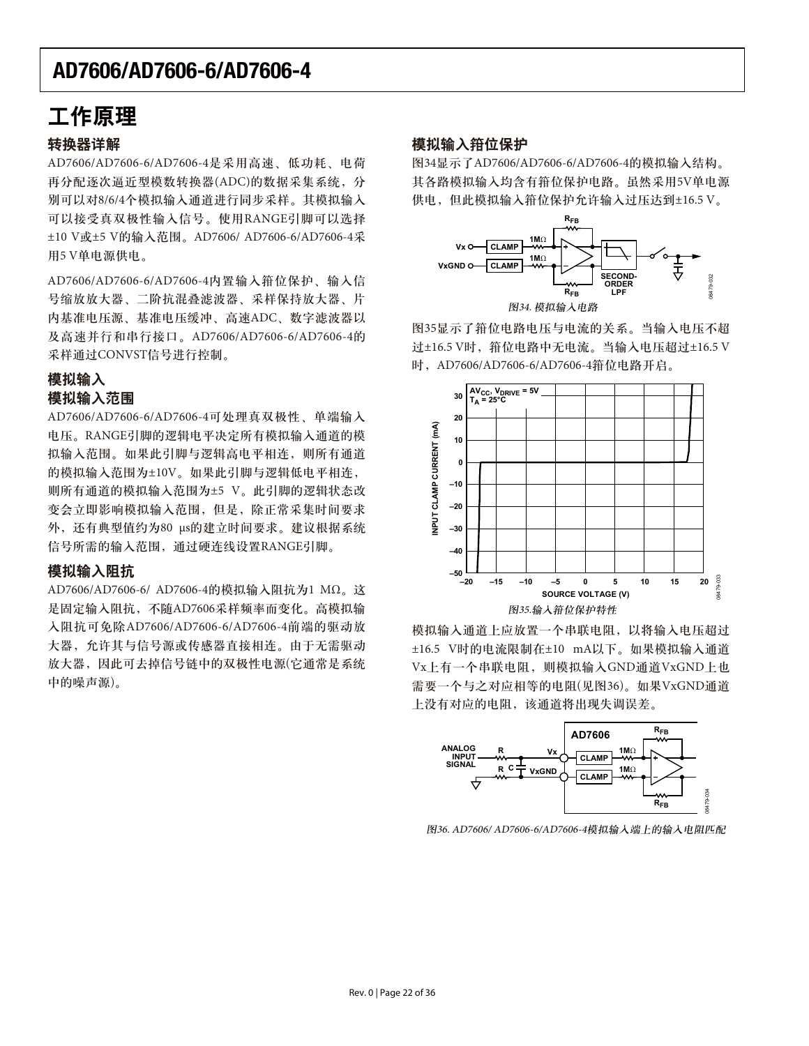## 工作原理

#### 转换器详解

AD7606/AD7606-6/AD7606-4是采用高速、低功耗、电荷 再分配逐次逼近型模数转换器(ADC)的数据采集系统, 分 别可以对8/6/4个模拟输入通道进行同步采样。其模拟输入 可以接受真双极性输入信号。使用RANGE引脚可以选择 ±10 V或±5 V的输入范围。AD7606/ AD7606-6/AD7606-4采 用5 V单电源供电。

AD7606/AD7606-6/AD7606-4内置输入箝位保护、输入信 号缩放放大器、二阶抗混叠滤波器、采样保持放大器、片 内基准电压源、基准电压缓冲、高速ADC、数字滤波器以 及高速并行和串行接口。AD7606/AD7606-6/AD7606-4的 采样通过CONVST信号进行控制。

### 模拟输入 模拟输入范围

AD7606/AD7606-6/AD7606-4可处理真双极性、单端输入 电压。RANGE引脚的逻辑电平决定所有模拟输入通道的模 拟输入范围。如果此引脚与逻辑高电平相连, 则所有通道 的模拟输入范围为±10V。如果此引脚与逻辑低电平相连, 则所有通道的模拟输入范围为±5 V。此引脚的逻辑状态改 变会立即影响模拟输入范围,但是,除正常采集时间要求 外, 还有典型值约为80 μs的建立时间要求。建议根据系统 信号所需的输入范围, 通过硬连线设置RANGE引脚。

#### 模拟输入阻抗

AD7606/AD7606-6/ AD7606-4的模拟输入阻抗为1 MΩ。这 是固定输入阻抗, 不随AD7606采样频率而变化。高模拟输 入阻抗可免除AD7606/AD7606-6/AD7606-4前端的驱动放 大器, 允许其与信号源或传感器直接相连。由于无需驱动 放大器,因此可去掉信号链中的双极性电源(它通常是系统 中的噪声源)。

#### 模拟输入箝位保护

图34显示了AD7606/AD7606-6/AD7606-4的模拟输入结构。 其各路模拟输入均含有箝位保护电路。虽然采用5V单电源 供电, 但此模拟输入箝位保护允许输入过压达到±16.5 V。



图35显示了箝位电路电压与电流的关系。当输入电压不超 过±16.5 V时, 箝位电路中无电流。当输入电压超过±16.5 V 时, AD7606/AD7606-6/AD7606-4箝位电路开启。



模拟输入通道上应放置一个串联电阻, 以将输入电压超过 ±16.5 V时的电流限制在±10 mA以下。如果模拟输入通道 Vx上有一个串联电阻, 则模拟输入GND通道VxGND上也 需要一个与之对应相等的电阻(见图36)。如果VxGND通道 上没有对应的电阻,该通道将出现失调误差。



图36. AD7606/ AD7606-6/AD7606-4模拟输入端上的输入电阻匹配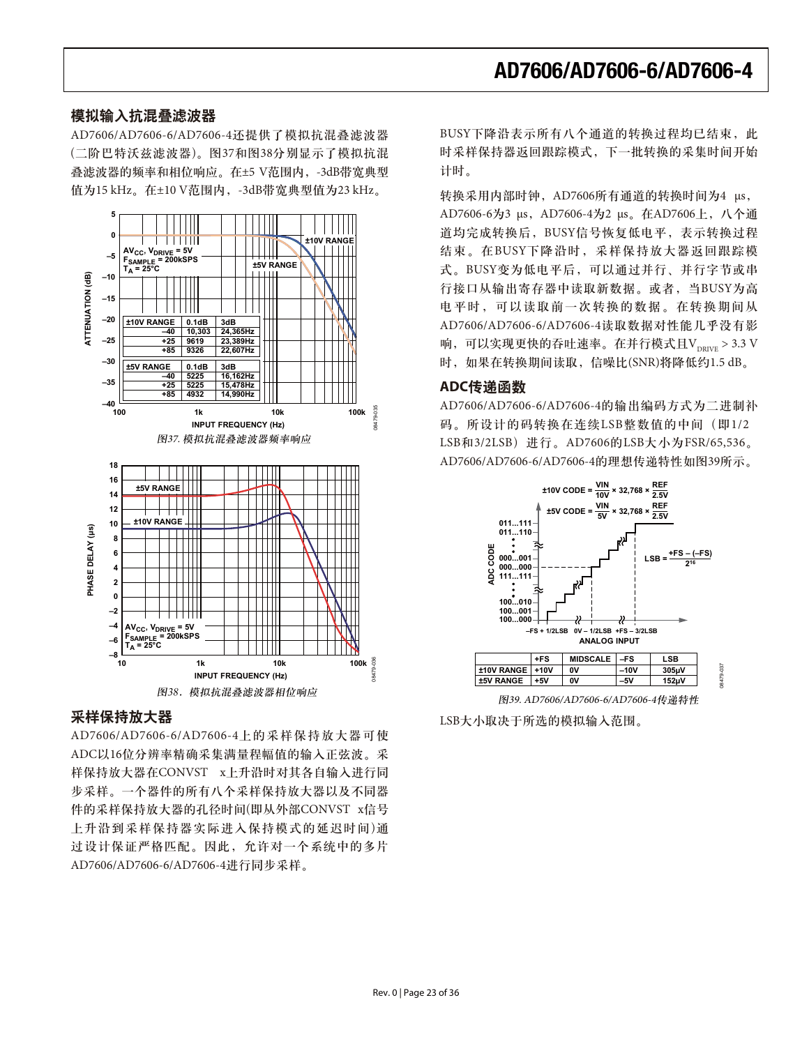#### 模拟输入抗混叠滤波器

AD7606/AD7606-6/AD7606-4还提供了模拟抗混叠滤波器 (二阶巴特沃兹滤波器)。图37和图38分别显示了模拟抗混 叠滤波器的频率和相位响应。在±5 V范围内, -3dB带宽典型 值为15 kHz。在±10 V范围内, -3dB带宽典型值为23 kHz。



#### 采样保持放大器<br> LSB大小取决于所选的模拟输入范围。

AD7606/AD7606-6/AD7606-4上的采样保持放大器可使 ADC以16位分辨率精确采集满量程幅值的输入正弦波。采 样保持放大器在CONVST x上升沿时对其各自输入进行同 步采样。一个器件的所有八个采样保持放大器以及不同器 件的采样保持放大器的孔径时间(即从外部CONVST x信号 上升沿到采样保持器实际进入保持模式的延迟时间)通 过设计保证严格匹配。因此,允许对一个系统中的多片 AD7606/AD7606-6/AD7606-4进行同步采样。

BUSY下降沿表示所有八个通道的转换过程均已结束, 此 时采样保持器返回跟踪模式,下一批转换的采集时间开始 计时。

转换采用内部时钟, AD7606所有通道的转换时间为4 μs, AD7606-6为3 μs, AD7606-4为2 μs。在AD7606上, 八个通 道均完成转换后, BUSY信号恢复低电平, 表示转换过程 结束。在BUSY下降沿时, 采样保持放大器返回跟踪模 式。BUSY变为低电平后,可以通过并行、并行字节或串 行接口从输出寄存器中读取新数据。或者, 当BUSY为高 电平时,可以读取前一次转换的数据。在转换期间从 AD7606/AD7606-6/AD7606-4读取数据对性能几乎没有影 响,可以实现更快的吞吐速率。在并行模式且 $V_{\text{neuro}} > 3.3$  V 时, 如果在转换期间读取, 信噪比(SNR)将降低约1.5 dB。

#### **ADC传递函数**

AD7606/AD7606-6/AD7606-4的输出编码方式为二进制补 码。所设计的码转换在连续LSB整数值的中间(即1/2 LSB和3/2LSB) 进行。AD7606的LSB大小为FSR/65,536。 AD7606/AD7606-6/AD7606-4的理想传递特性如图39所示。

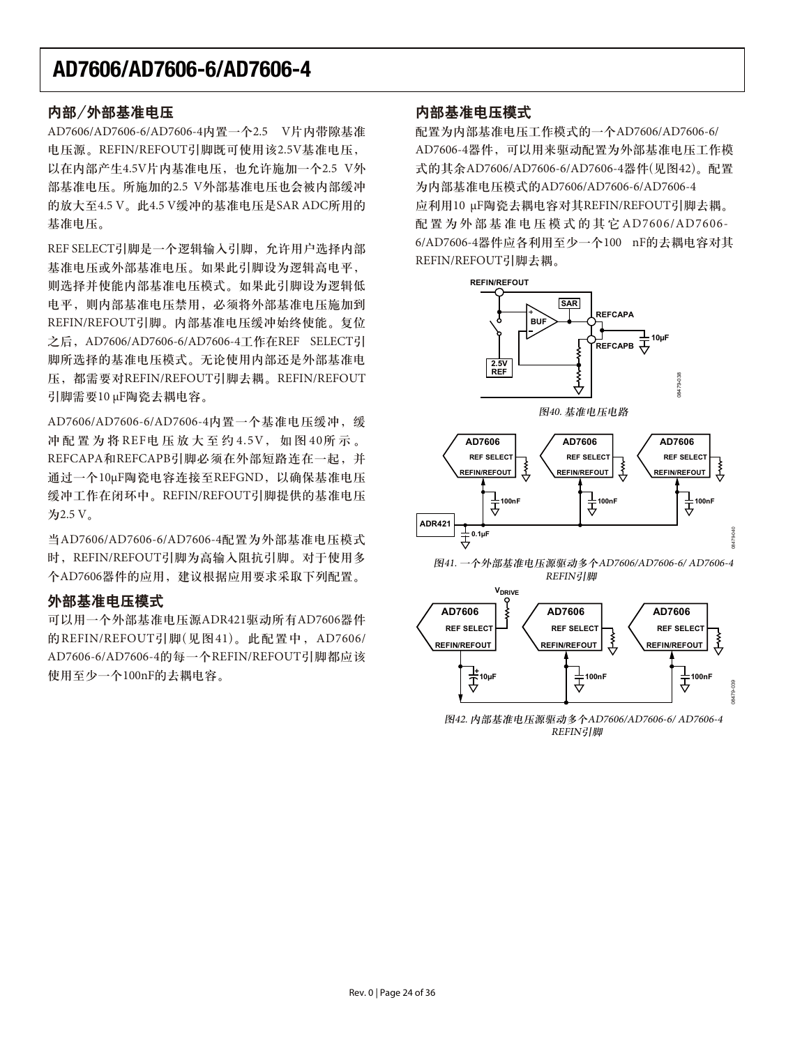#### 内部/外部基准电压

AD7606/AD7606-6/AD7606-4内置一个2.5 V片内带隙基准 电压源。REFIN/REFOUT引脚既可使用该2.5V基准电压, 以在内部产生4.5V片内基准电压, 也允许施加一个2.5 V外 部基准电压。所施加的2.5 V外部基准电压也会被内部缓冲 的放大至4.5 V。此4.5 V缓冲的基准电压是SAR ADC所用的 基准电压。

REF SELECT引脚是一个逻辑输入引脚, 允许用户选择内部 基准电压或外部基准电压。如果此引脚设为逻辑高电平, 则选择并使能内部基准电压模式。如果此引脚设为逻辑低 电平, 则内部基准电压禁用, 必须将外部基准电压施加到 REFIN/REFOUT引脚。内部基准电压缓冲始终使能。复位 之后, AD7606/AD7606-6/AD7606-4工作在REF SELECT引 脚所选择的基准电压模式。无论使用内部还是外部基准电 压,都需要对REFIN/REFOUT引脚去耦。REFIN/REFOUT 引脚需要10 μF陶瓷去耦电容。

AD7606/AD7606-6/AD7606-4内置一个基准电压缓冲,缓 冲配置为将REF电压放大至约4.5V, 如图40所示。 REFCAPA和REFCAPB引脚必须在外部短路连在一起,并 通过一个10μF陶瓷电容连接至REFGND, 以确保基准电压 缓冲工作在闭环中。REFIN/REFOUT引脚提供的基准电压 为2.5 V。

当AD7606/AD7606-6/AD7606-4配置为外部基准电压模式 时, REFIN/REFOUT引脚为高输入阻抗引脚。对于使用多 个AD7606器件的应用,建议根据应用要求采取下列配置。

#### 外部基准电压模式

可以用一个外部基准电压源ADR421驱动所有AD7606器件 的REFIN/REFOUT引脚(见图41)。此配置中, AD7606/ AD7606-6/AD7606-4的每一个REFIN/REFOUT引脚都应该 使用至少一个100nF的去耦电容。

#### 内部基准电压模式

配置为内部基准电压工作模式的一个AD7606/AD7606-6/ AD7606-4器件, 可以用来驱动配置为外部基准电压工作模 式的其余AD7606/AD7606-6/AD7606-4器件(见图42)。配置 为内部基准电压模式的AD7606/AD7606-6/AD7606-4 应利用10 μF陶瓷去耦电容对其REFIN/REFOUT引脚去耦。 配置为外部基准电压模式的其它AD7606/AD7606-6/AD7606-4器件应各利用至少一个100 nF的去耦电容对其 REFIN/REFOUT引脚去耦。



图42. 内部基准电压源驱动多个AD7606/AD7606-6/ AD7606-4 **REFIN引脚** 

╤

08479-039

₹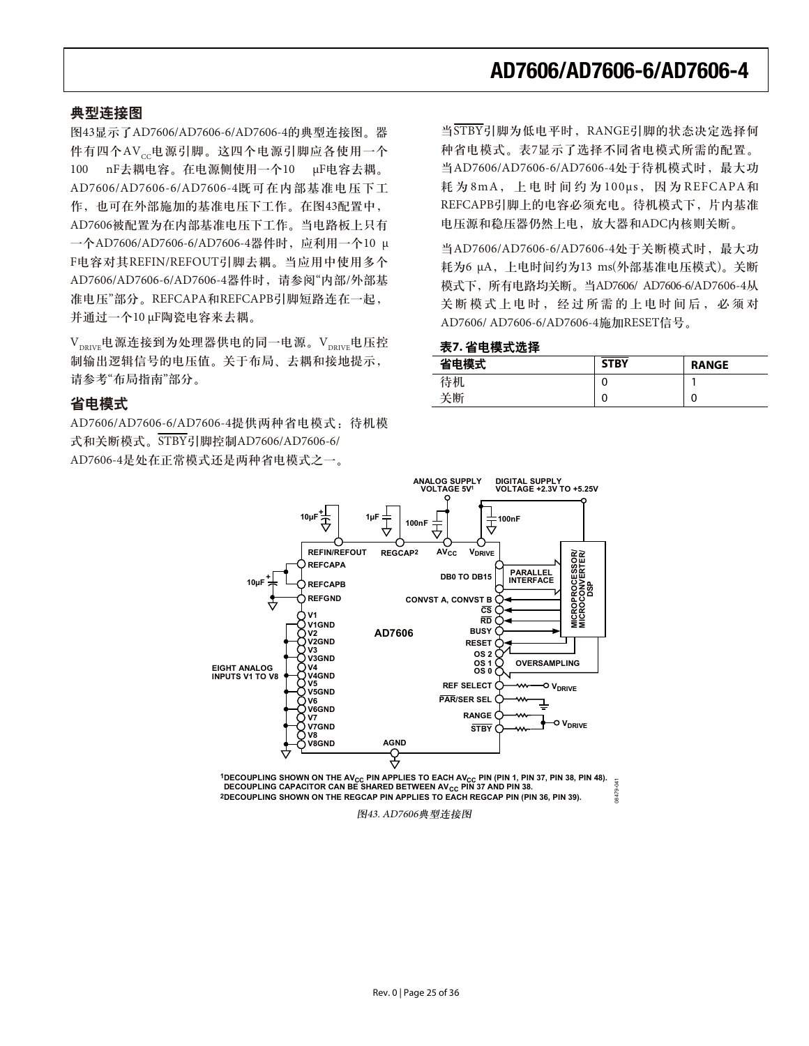#### 典型连接图

图43显示了AD7606/AD7606-6/AD7606-4的典型连接图。器 件有四个AVcc电源引脚。这四个电源引脚应各使用一个 100 nF去耦电容。在电源侧使用一个10 µF电容去耦。 AD7606/AD7606-6/AD7606-4既可在内部基准电压下工 作,也可在外部施加的基准电压下工作。在图43配置中, AD7606被配置为在内部基准电压下工作。当电路板上只有 一个AD7606/AD7606-6/AD7606-4器件时, 应利用一个10 μ F电容对其REFIN/REFOUT引脚去耦。当应用中使用多个 AD7606/AD7606-6/AD7606-4器件时, 请参阅"内部/外部基 准电压"部分。REFCAPA和REFCAPB引脚短路连在一起, 并通过一个10 μF陶瓷电容来去耦。

 $\rm V_{_{DRIVF}}$ 电源连接到为处理器供电的同一电源。 $\rm V_{_{DRIVF}}$ 电压控 制输出逻辑信号的电压值。关于布局、去耦和接地提示, 请参考"布局指南"部分。

#### 省电模式

AD7606/AD7606-6/AD7606-4提供两种省电模式: 待机模 式和关断模式。STBY引脚控制AD7606/AD7606-6/ AD7606-4是处在正常模式还是两种省电模式之一。

当STBY引脚为低电平时, RANGE引脚的状态决定选择何 种省电模式。表7显示了选择不同省电模式所需的配置。 当AD7606/AD7606-6/AD7606-4处于待机模式时, 最大功 耗为8mA, 上电时间约为100μs, 因为REFCAPA和 REFCAPB引脚上的电容必须充电。待机模式下, 片内基准 电压源和稳压器仍然上电,放大器和ADC内核则关断。

当AD7606/AD7606-6/AD7606-4处于关断模式时, 最大功 耗为6 μA, 上电时间约为13 ms(外部基准电压模式)。关断 模式下, 所有电路均关断。当AD7606/ AD7606-6/AD7606-4从 关断模式上电时, 经过所需的上电时间后, 必须对 AD7606/ AD7606-6/AD7606-4施加RESET信号。

#### 表7. 省电模式选择

| 省电模式 | <b>STBY</b> | <b>RANGE</b> |
|------|-------------|--------------|
| 待机   | 0           |              |
| 关断   | 0           | 0            |



1DECOUPLING SHOWN ON THE AV<sub>CC</sub> PIN APPLIES TO EACH AV<sub>CC</sub> PIN (PIN 1, PIN 37, PIN 38, PIN 48). DECOUPLING CAPACITOR CAN BE SHARED BETWEEN AV<sub>CC</sub> PIN 37 AND PIN 38. **2DECOUPLING SHOWN ON THE REGCAP PIN APPLIES TO EACH REGCAP PIN (PIN 36, PIN 39).** 08479-041

图43. AD7606典型连接图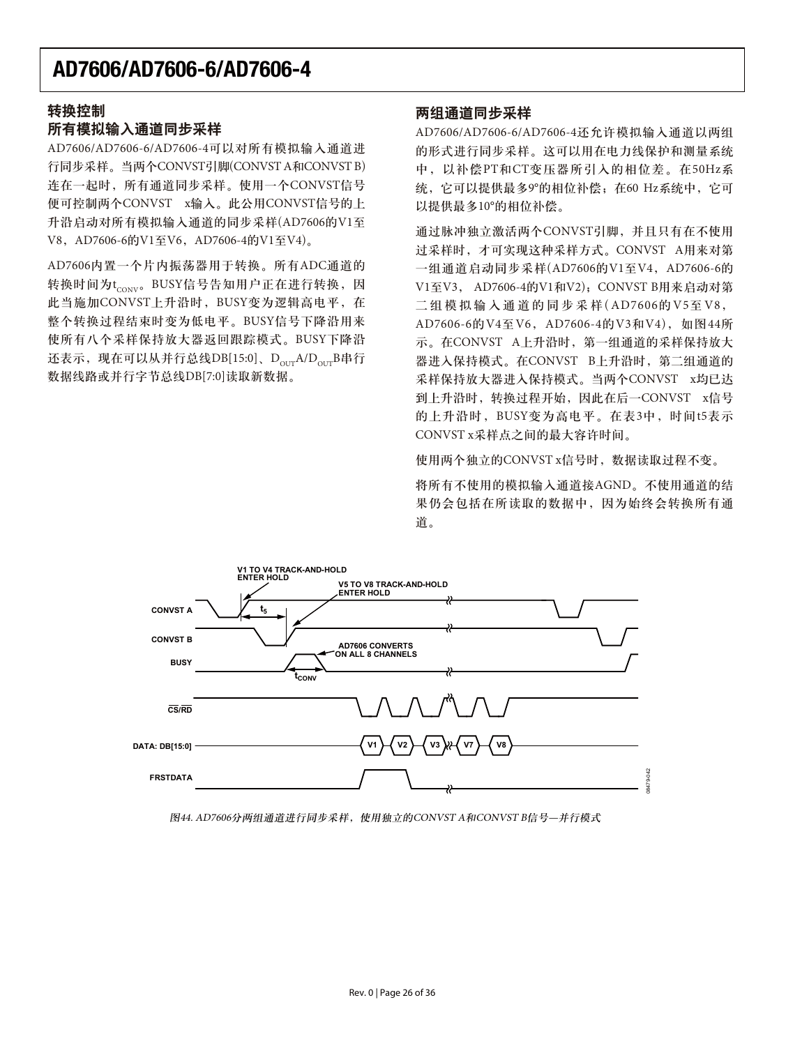#### 转换控制

#### 所有模拟输入通道同步采样

AD7606/AD7606-6/AD7606-4可以对所有模拟输入通道进 行同步采样。当两个CONVST引脚(CONVST A和CONVST B) 连在一起时, 所有通道同步采样。使用一个CONVST信号 便可控制两个CONVST x输入。此公用CONVST信号的上 升沿启动对所有模拟输入通道的同步采样(AD7606的V1至 V8, AD7606-6的V1至V6, AD7606-4的V1至V4)。

AD7606内置一个片内振荡器用于转换。所有ADC通道的 转换时间为t<sub>conv</sub>。BUSY信号告知用户正在进行转换, 因 此当施加CONVST上升沿时, BUSY变为逻辑高电平, 在 整个转换过程结束时变为低电平。BUSY信号下降沿用来 使所有八个采样保持放大器返回跟踪模式。BUSY下降沿 还表示,现在可以从并行总线DB[15:0]、D $_{\text{our}}$ A/D $_{\text{our}}$ B串行 数据线路或并行字节总线DB[7:0]读取新数据。

#### 两组通道同步采样

AD7606/AD7606-6/AD7606-4还允许模拟输入通道以两组 的形式进行同步采样。这可以用在电力线保护和测量系统 中, 以补偿PT和CT变压器所引入的相位差。在50Hz系 统, 它可以提供最多9°的相位补偿; 在60 Hz系统中, 它可 以提供最多10°的相位补偿。

通过脉冲独立激活两个CONVST引脚,并且只有在不使用 过采样时, 才可实现这种采样方式。CONVST A用来对第 一组通道启动同步采样(AD7606的V1至V4, AD7606-6的 V1至V3, AD7606-4的V1和V2), CONVST B用来启动对第 二组模拟输入通道的同步采样(AD7606的V5至V8, AD7606-6的V4至V6, AD7606-4的V3和V4), 如图44所 示。在CONVST A上升沿时, 第一组通道的采样保持放大 器进入保持模式。在CONVST B上升沿时, 第二组通道的 采样保持放大器进入保持模式。当两个CONVST x均已达 到上升沿时, 转换过程开始, 因此在后一CONVST x信号 的上升沿时, BUSY变为高电平。在表3中, 时间t5表示 CONVST x采样点之间的最大容许时间。

使用两个独立的CONVST x信号时, 数据读取过程不变。

将所有不使用的模拟输入通道接AGND。不使用通道的结 果仍会包括在所读取的数据中,因为始终会转换所有通 道。



图44. AD7606分两组通道进行同步采样, 使用独立的CONVST A和CONVST B信号—并行模式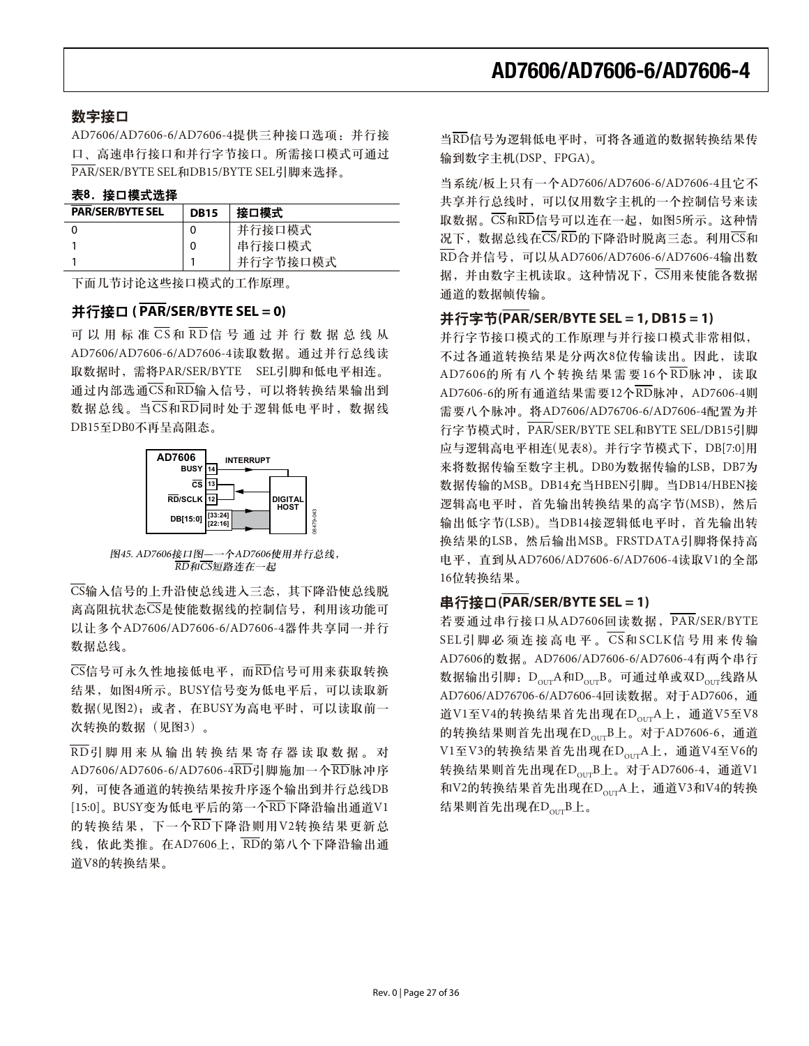#### 数字接口

AD7606/AD7606-6/AD7606-4提供三种接口选项: 并行接 口、高速串行接口和并行字节接口。所需接口模式可通过 PAR/SER/BYTE SEL和DB15/BYTE SEL引脚来选择。

#### 表8. 接口模式选择

| <b>PAR/SER/BYTE SEL</b> | <b>DB15</b> | 接口模式     |
|-------------------------|-------------|----------|
|                         |             | 并行接口模式   |
|                         | 0           | 串行接口模式   |
|                         |             | 并行字节接口模式 |

下面几节讨论这些接口模式的工作原理。

#### **并行接口 ( PAR/SER/BYTE SEL = 0)**

可以用标准 $\overline{\text{CS}}$ 和 $\overline{\text{RD}}$ 信号通过并行数据总线从 AD7606/AD7606-6/AD7606-4读取数据。通过并行总线读 取数据时,需将PAR/SER/BYTE SEL引脚和低电平相连。 通过内部选通CS和RD输入信号,可以将转换结果输出到 数据总线。当 $\overline{\text{CS}}$ 和 $\overline{\text{RD}}$ 同时处于逻辑低电平时, 数据线 DB15至DB0不再呈高阻态。



图45. AD7606接口图 -- 个AD7606使用并行总线, n<br>RD和CS短路连在一起

 $\overline{\text{CS}}$ 输入信号的上升沿使总线进入三态, 其下降沿使总线脱 离高阻抗状态CS是使能数据线的控制信号, 利用该功能可 以让多个AD7606/AD7606-6/AD7606-4器件共享同一并行 数据总线。

 $\overline{\text{CS}}$ 信号可永久性地接低电平, 而 $\overline{\text{RD}}$ 信号可用来获取转换 结果, 如图4所示。BUSY信号变为低电平后, 可以读取新 数据(见图2): 或者, 在BUSY为高电平时, 可以读取前一 次转换的数据(见图3)。

 $\overline{\mathrm{RD}}$ 引脚用来从输出转换结果寄存器读取数据。对 AD7606/AD7606-6/AD7606-4RD引脚施加一个RD脉冲序 列,可使各通道的转换结果按升序逐个输出到并行总线DB [15:0]。BUSY变为低电平后的第一个 $\overline{\mathrm{RD}}$ 下降沿输出通道V1 的转换结果, 下一个RD下降沿则用V2转换结果更新总 线, 依此类推。在AD7606上, KD的第八个下降沿输出通 道V8的转换结果。

当RD信号为逻辑低电平时,可将各通道的数据转换结果传 输到数字主机(DSP、FPGA)。

当系统/板上只有一个AD7606/AD7606-6/AD7606-4且它不 共享并行总线时,可以仅用数字主机的一个控制信号来读 取数据。 $\overline{\text{CS}}$ 和 $\overline{\text{RD}}$ 信号可以连在一起, 如图5所示。这种情 况下, 数据总线在 $\overline{\text{CS}}$ /RD的下降沿时脱离三态。利用 $\overline{\text{CS}}$ 和  $\overline{\text{RD}}$ 合并信号, 可以从AD7606/AD7606-6/AD7606-4输出数 据, 并由数字主机读取。这种情况下, CS用来使能各数据 通道的数据帧传输。

#### **并行字节(PAR/SER/BYTE SEL = 1, DB15 = 1)**

并行字节接口模式的工作原理与并行接口模式非常相似, 不过各通道转换结果是分两次8位传输读出。因此,读取 AD7606的所有八个转换结果需要16个 $\overline{\mathrm{RD}}$ 脉冲, 读取 AD7606-6的所有通道结果需要12个RD脉冲, AD7606-4则 需要八个脉冲。将AD7606/AD76706-6/AD7606-4配置为并 行字节模式时, PAR/SER/BYTE SEL和BYTE SEL/DB15引脚 应与逻辑高电平相连(见表8)。并行字节模式下, DB[7:0]用 来将数据传输至数字主机。DB0为数据传输的LSB, DB7为 数据传输的MSB。DB14充当HBEN引脚。当DB14/HBEN接 逻辑高电平时, 首先输出转换结果的高字节(MSB), 然后 输出低字节(LSB)。当DB14接逻辑低电平时, 首先输出转 换结果的LSB, 然后输出MSB。FRSTDATA引脚将保持高 电平, 直到从AD7606/AD7606-6/AD7606-4读取V1的全部 16位转换结果。

#### **串行接口(PAR/SER/BYTE SEL = 1)**

若要通过串行接口从AD7606回读数据, PAR/SER/BYTE  $SEL$ 引脚必须连接高电平。 $CS$ 和SCLK信号用来传输 AD7606的数据。AD7606/AD7606-6/AD7606-4有两个串行 数据输出引脚: DourA和DourB。可通过单或双Dour线路从 AD7606/AD76706-6/AD7606-4回读数据。对于AD7606, 通 道V1至V4的转换结果首先出现在D<sub>ouT</sub>A上, 通道V5至V8 的转换结果则首先出现在 $D_{\text{OUT}}B$ 上。对于AD7606-6, 通道 V1至V3的转换结果首先出现在D<sub>our</sub>A上, 通道V4至V6的 转换结果则首先出现在D<sub>OUT</sub>B上。对于AD7606-4, 通道V1 和V2的转换结果首先出现在D<sub>OUT</sub>A上,通道V3和V4的转换 结果则首先出现在DourB上。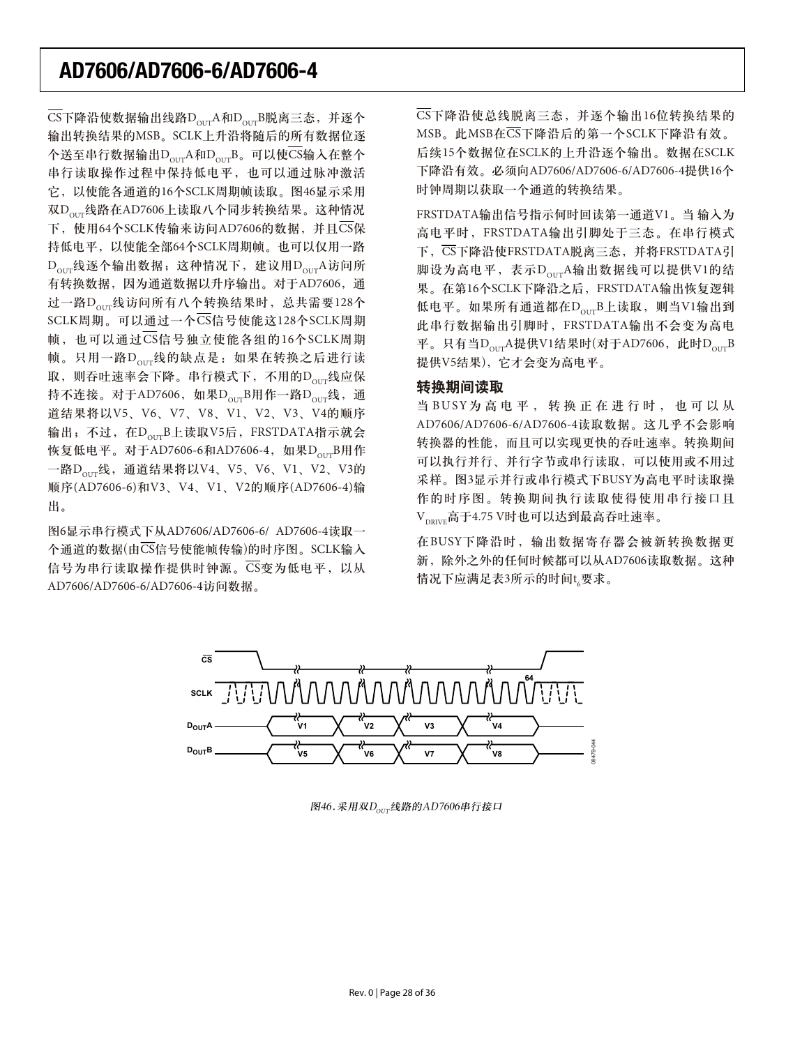$\overline{\text{CS}}$ 下降沿使数据输出线路 $\text{D}_{\text{out}}$ A和 $\text{D}_{\text{out}}$ B脱离三态, 并逐个 输出转换结果的MSB。SCLK上升沿将随后的所有数据位逐 个送至串行数据输出D $_{\mathrm{our}}$ A和D $_{\mathrm{our}}$ B。可以使 $\overline{\mathrm{CS}}$ 输入在整个 串行读取操作过程中保持低电平,也可以通过脉冲激活 它, 以使能各通道的16个SCLK周期帧读取。图46显示采用 双D<sub>ouT</sub>线路在AD7606上读取八个同步转换结果。这种情况 下, 使用64个SCLK传输来访问AD7606的数据, 并且CS保 持低电平, 以使能全部64个SCLK周期帧。也可以仅用一路  $D_{\text{corr}}$ 线逐个输出数据; 这种情况下, 建议用 $D_{\text{corr}}$ A访问所 有转换数据, 因为通道数据以升序输出。对于AD7606, 通 过一路D<sub>our</sub>线访问所有八个转换结果时, 总共需要128个 SCLK周期。可以通过一个CS信号使能这128个SCLK周期 帧, 也可以通过CS信号独立使能各组的16个SCLK周期 帧。只用一路D<sub>our</sub>线的缺点是: 如果在转换之后进行读 取,则吞吐速率会下降。串行模式下,不用的D<sub>our</sub>线应保 持不连接。对于AD7606, 如果D<sub>our</sub>B用作一路D<sub>our</sub>线, 通 道结果将以V5、V6、V7、V8、V1、V2、V3、V4的顺序 输出; 不过, 在D<sub>our</sub>B上读取V5后, FRSTDATA指示就会 恢复低电平。对于AD7606-6和AD7606-4, 如果D<sub>our</sub>B用作 一路D<sub>OUT</sub>线, 通道结果将以V4、V5、V6、V1、V2、V3的 順序(AD7606-6)和V3、V4、V1、V2的顺序(AD7606-4)输 出。

图6显示串行模式下从AD7606/AD7606-6/ AD7606-4读取一 个通道的数据(由CS信号使能帧传输)的时序图。SCLK输入 信号为串行读取操作提供时钟源。CS变为低电平, 以从 AD7606/AD7606-6/AD7606-4访问数据。

 $\overline{\text{CS}}$ 下降沿使总线脱离三态, 并逐个输出16位转换结果的 MSB。此MSB在CS下降沿后的第一个SCLK下降沿有效。 后续15个数据位在SCLK的上升沿逐个输出。数据在SCLK 下降沿有效。必须向AD7606/AD7606-6/AD7606-4提供16个 时钟周期以获取一个通道的转换结果。

FRSTDATA输出信号指示何时回读第一通道V1。当 输入为 高电平时, FRSTDATA输出引脚处于三态。在串行模式 下,  $\overline{\text{CS}}$ 下降沿使FRSTDATA脱离三态, 并将FRSTDATA引 脚设为高电平,表示DourA输出数据线可以提供V1的结 果。在第16个SCLK下降沿之后,FRSTDATA输出恢复逻辑 低电平。如果所有通道都在D<sub>our</sub>B上读取, 则当V1输出到 此串行数据输出引脚时, FRSTDATA输出不会变为高电 平。只有当 $D_{\text{our}}$ A提供V1结果时(对于AD7606, 此时 $D_{\text{our}}$ B 提供V5结果), 它才会变为高电平。

#### 转换期间读取

当BUSY为高电平, 转换正在进行时, 也可以从 AD7606/AD7606-6/AD7606-4读取数据。这几乎不会影响 转换器的性能,而且可以实现更快的吞吐速率。转换期间 可以执行并行、并行字节或串行读取,可以使用或不用过 采样。图3显示并行或串行模式下BUSY为高电平时读取操 作的时序图。转换期间执行读取使得使用串行接口且  $V_{\text{power}}$ 高于4.75 V时也可以达到最高吞吐速率。

在BUSY下降沿时, 输出数据寄存器会被新转换数据更 新, 除外之外的任何时候都可以从AD7606读取数据。这种 情况下应满足表3所示的时间t<sub>6</sub>要求。



图46.采用双 $D_{\text{OUT}}$ 线路的AD7606串行接口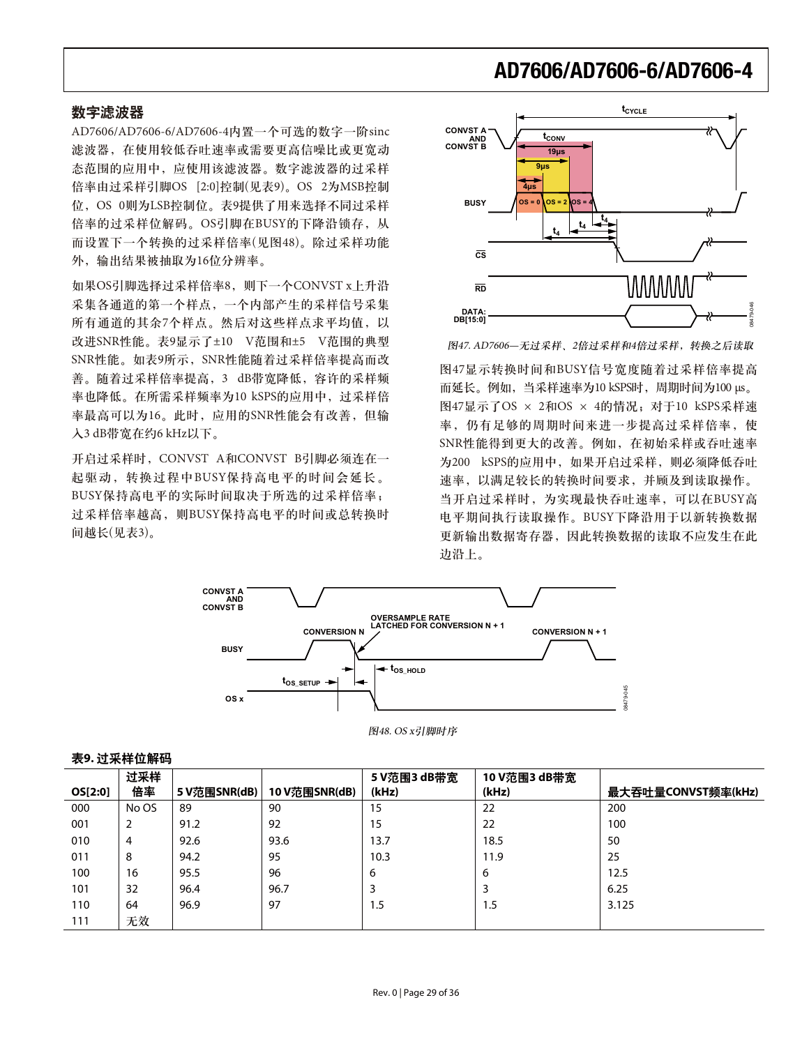#### 数字滤波器

AD7606/AD7606-6/AD7606-4内置一个可选的数字一阶sinc 滤波器, 在使用较低吞吐速率或需要更高信噪比或更宽动 态范围的应用中, 应使用该滤波器。数字滤波器的过采样 倍率由过采样引脚OS [2:0]控制(见表9)。OS 2为MSB控制 位, OS 0则为LSB控制位。表9提供了用来选择不同过采样 倍率的过采样位解码。OS引脚在BUSY的下降沿锁存, 从 而设置下一个转换的过采样倍率(见图48)。除过采样功能 外, 输出结果被抽取为16位分辨率。

如果OS引脚选择过采样倍率8, 则下一个CONVST x上升沿 采集各通道的第一个样点, 一个内部产生的采样信号采集 所有通道的其余7个样点。然后对这些样点求平均值,以 改进SNR性能。表9显示了±10 V范围和±5 V范围的典型 SNR性能。如表9所示, SNR性能随着过采样倍率提高而改 善。随着过采样倍率提高, 3 dB带宽降低, 容许的采样频 率也降低。在所需采样频率为10 kSPS的应用中,过采样倍 率最高可以为16。此时, 应用的SNR性能会有改善, 但输 入3 dB带宽在约6 kHz以下。

开启过采样时, CONVST A和CONVST B引脚必须连在一 起驱动, 转换过程中BUSY保持高电平的时间会延长。 BUSY保持高电平的实际时间取决于所选的过采样倍率; 过采样倍率越高, 则BUSY保持高电平的时间或总转换时 间越长(见表3)。



图47. AD7606—无过采样、2倍过采样和4倍过采样, 转换之后读取

图47显示转换时间和BUSY信号宽度随着过采样倍率提高 而延长。例如, 当采样速率为10 kSPS时, 周期时间为100 μs。 图47显示了OS × 2和OS × 4的情况; 对于10 kSPS采样速 率,仍有足够的周期时间来进一步提高过采样倍率,使 SNR性能得到更大的改善。例如, 在初始采样或吞吐速率 为200 kSPS的应用中, 如果开启过采样, 则必须降低吞吐 速率,以满足较长的转换时间要求,并顾及到读取操作。 当开启过采样时, 为实现最快吞吐速率, 可以在BUSY高 电平期间执行读取操作。BUSY下降沿用于以新转换数据 更新输出数据寄存器,因此转换数据的读取不应发生在此 边沿上。



|  |  | 图48. OS x引脚时序 |
|--|--|---------------|
|--|--|---------------|

|         | 过采样   |              |               | 5 V范围3 dB带宽 | 10 V范围3 dB带宽 |                    |
|---------|-------|--------------|---------------|-------------|--------------|--------------------|
| OS[2:0] | 倍率    | 5 V范围SNR(dB) | 10 V范围SNR(dB) | (kHz)       | (kHz)        | 最大吞吐量CONVST频率(kHz) |
| 000     | No OS | 89           | 90            | 15          | 22           | 200                |
| 001     | 2     | 91.2         | 92            | 15          | 22           | 100                |
| 010     | 4     | 92.6         | 93.6          | 13.7        | 18.5         | 50                 |
| 011     | 8     | 94.2         | 95            | 10.3        | 11.9         | 25                 |
| 100     | 16    | 95.5         | 96            | 6           | 6            | 12.5               |
| 101     | 32    | 96.4         | 96.7          | 3           |              | 6.25               |
| 110     | 64    | 96.9         | 97            | 1.5         | 1.5          | 3.125              |
| 111     | 无效    |              |               |             |              |                    |

#### 表9. 过采样位解码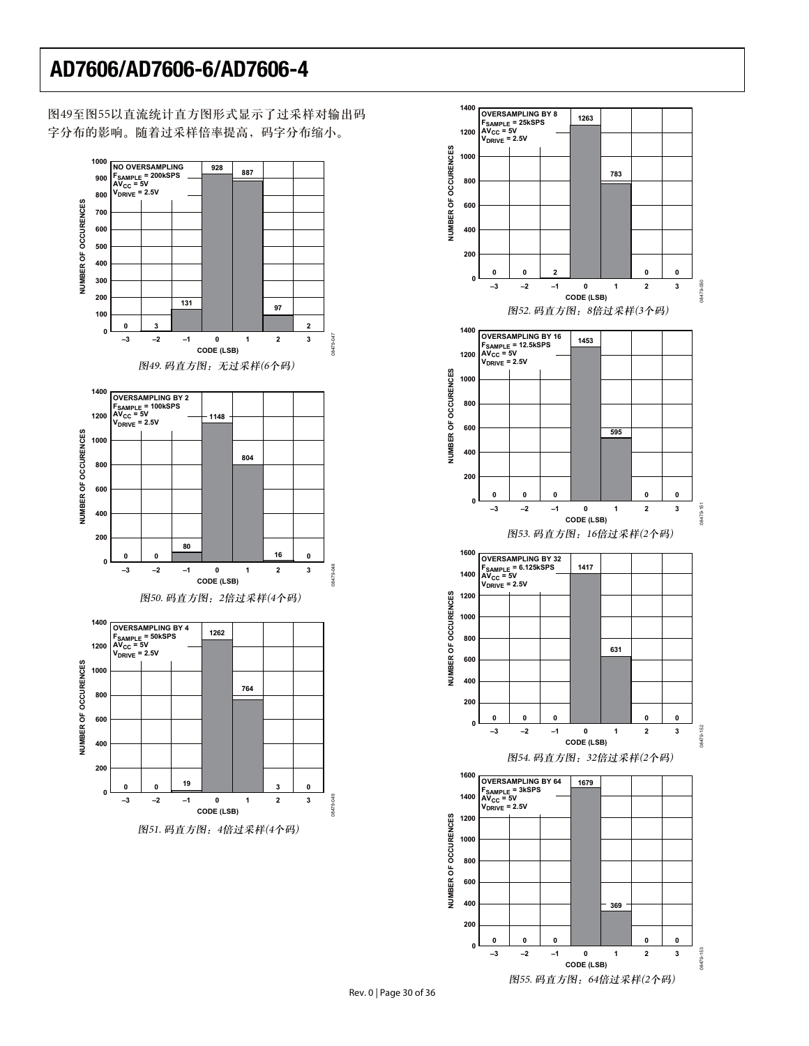图49至图55以直流统计直方图形式显示了过采样对输出码 字分布的影响。随着过采样倍率提高, 码字分布缩小。



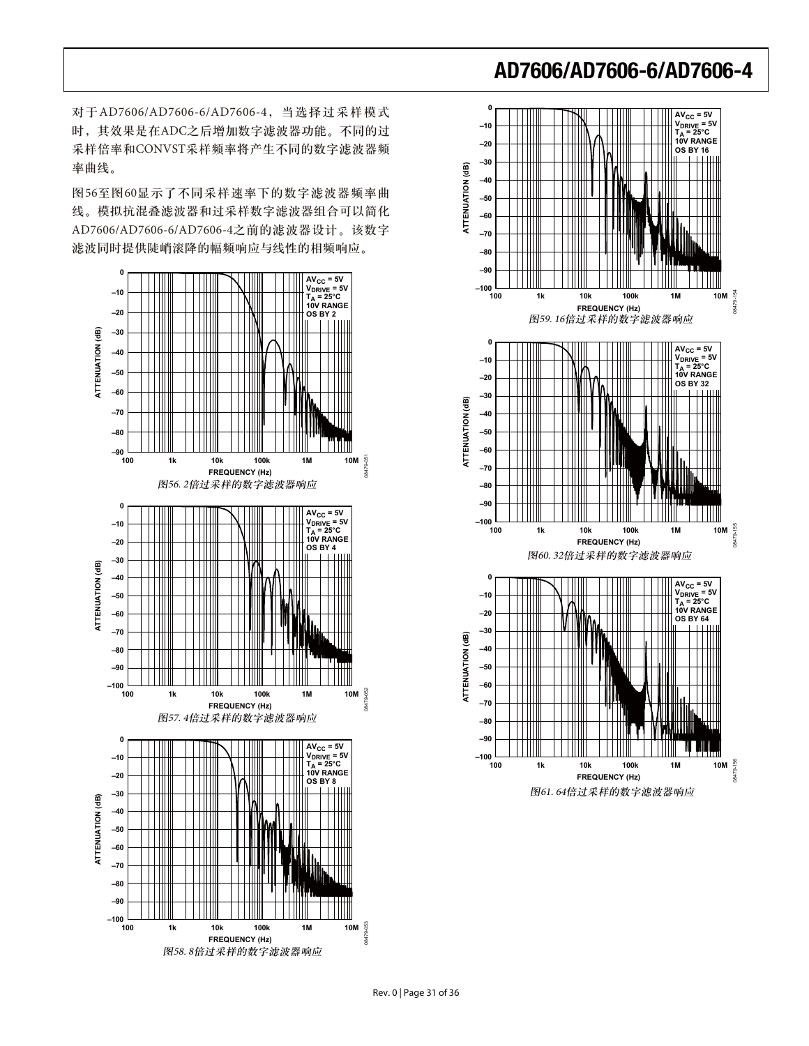对于AD7606/AD7606-6/AD7606-4, 当选择过采样模式 时, 其效果是在ADC之后增加数字滤波器功能。不同的过 采样倍率和CONVST采样频率将产生不同的数字滤波器频 率曲线。

图56至图60显示了不同采样速率下的数字滤波器频率曲 线。模拟抗混叠滤波器和过采样数字滤波器组合可以简化 AD7606/AD7606-6/AD7606-4之前的滤波器设计。该数字 滤波同时提供陡峭滚降的幅频响应与线性的相频响应。



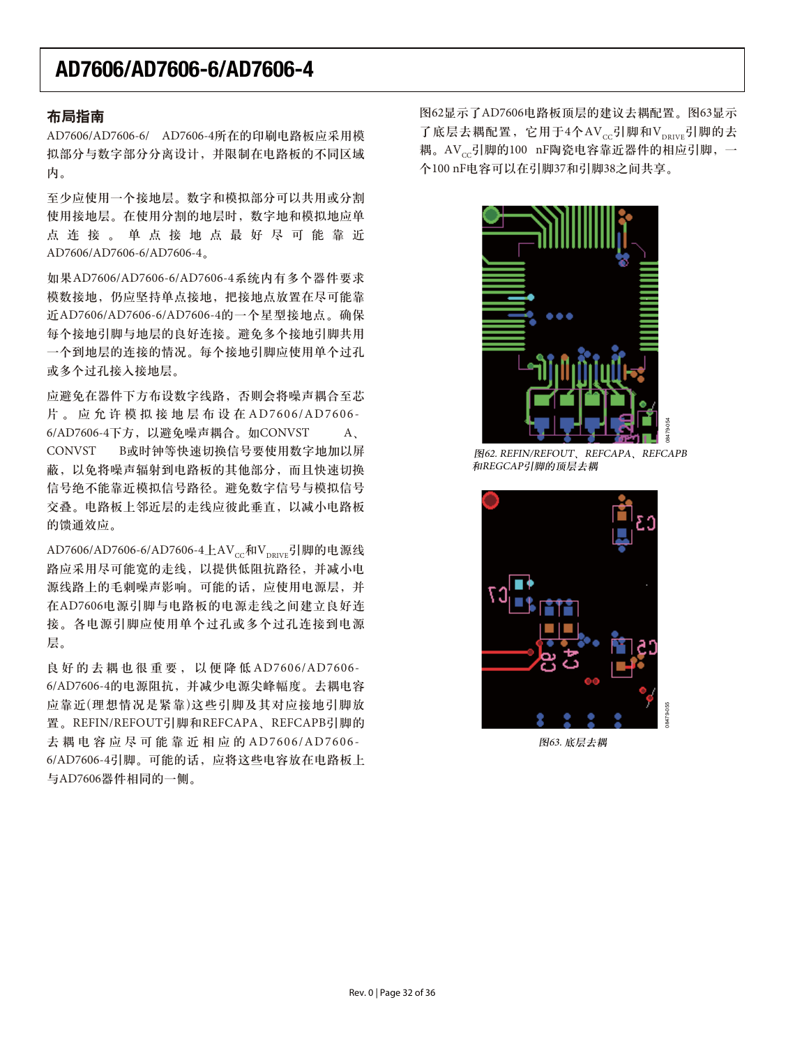#### 布局指南

AD7606/AD7606-6/ AD7606-4所在的印刷电路板应采用模 拟部分与数字部分分离设计,并限制在电路板的不同区域 内。

至少应使用一个接地层。数字和模拟部分可以共用或分割 使用接地层。在使用分割的地层时, 数字地和模拟地应单 点连接。单点接地点最好尽可能靠近 AD7606/AD7606-6/AD7606-4ă

如果AD7606/AD7606-6/AD7606-4系统内有多个器件要求 模数接地、仍应坚持单点接地、把接地点放置在尽可能靠 近AD7606/AD7606-6/AD7606-4的一个星型接地点。确保 每个接地引脚与地层的良好连接。避免多个接地引脚共用 一个到地层的连接的情况。每个接地引脚应使用单个过孔 或多个过孔接入接地层。

应避免在器件下方布设数字线路, 否则会将噪声耦合至芯 片。应允许模拟接地层布设在AD7606/AD7606- $6$ /AD7606-4下方, 以避免噪声耦合。如CONVST  $A<sub>x</sub>$ CONVST B或时钟等快速切换信号要使用数字地加以屏 蔽,以免将噪声辐射到电路板的其他部分,而且快速切换 信号绝不能靠近模拟信号路径。避免数字信号与模拟信号 交叠。电路板上邻近层的走线应彼此垂直,以减小电路板 的馈通效应。

AD7606/AD7606-6/AD7606-4上AV<sub>cc</sub>和V<sub>DRIVE</sub>引脚的电源线 路应采用尽可能宽的走线,以提供低阻抗路径,并减小电 源线路上的毛刺噪声影响。可能的话, 应使用电源层, 并 在AD7606电源引脚与电路板的电源走线之间建立良好连 接。各电源引脚应使用单个过孔或多个过孔连接到电源 层。

良好的去耦也很重要, 以便降低AD7606/AD7606-6/AD7606-4的电源阻抗, 并减少电源尖峰幅度。去耦电容 应靠近(理想情况是紧靠)这些引脚及其对应接地引脚放 置。REFIN/REFOUT引脚和REFCAPA、REFCAPB引脚的 去耦电容应尽可能靠近相应的AD7606/AD7606-6/AD7606-4引脚。可能的话, 应将这些电容放在电路板上 与AD7606器件相同的一侧。

图62显示了AD7606电路板顶层的建议去耦配置。图63显示 了底层去耦配置, 它用于4个AVcc引脚和Vppryp引脚的去 耦。AV<sub>cc</sub>引脚的100 nF陶瓷电容靠近器件的相应引脚, 一 个100 nF电容可以在引脚37和引脚38之间共享。



**K362. REFIN/REFOUT, REFCAPA, REFCAPB** 和REGCAP引脚的顶层去耦



图63. 底层去耦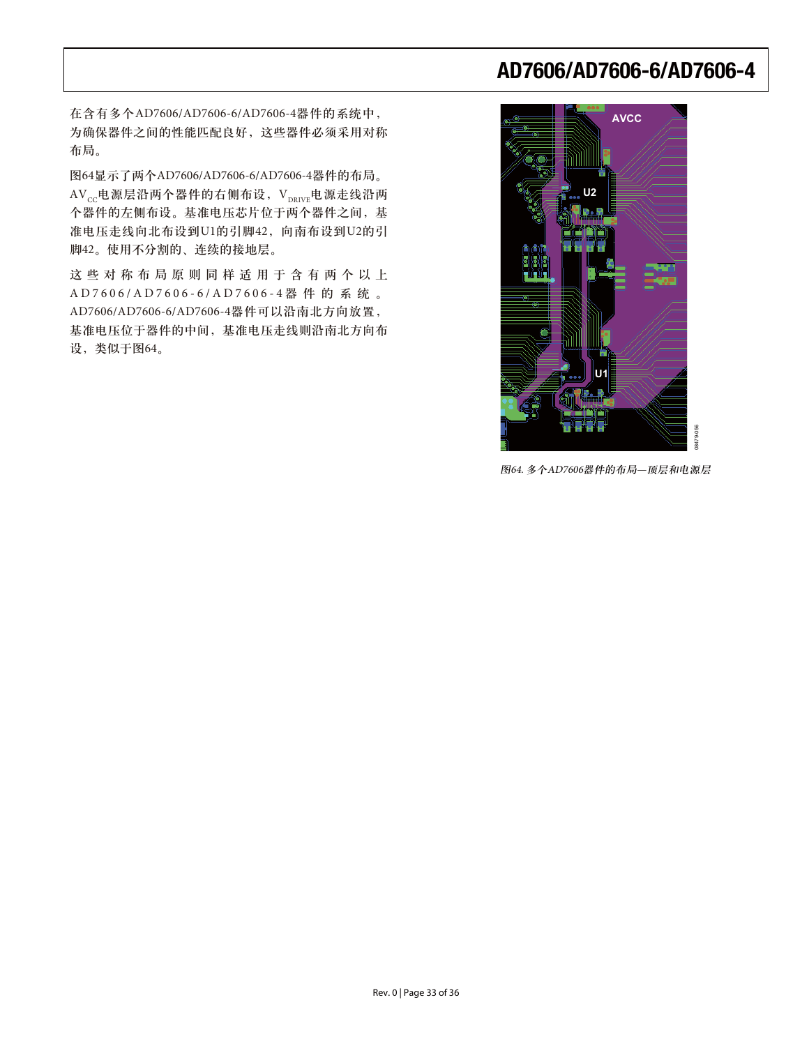在含有多个AD7606/AD7606-6/AD7606-4器件的系统中, 为确保器件之间的性能匹配良好,这些器件必须采用对称 布局。

图64显示了两个AD7606/AD7606-6/AD7606-4器件的布局。 AVcc电源层沿两个器件的右侧布设, VpRIVE电源走线沿两 个器件的左侧布设。基准电压芯片位于两个器件之间, 基 准电压走线向北布设到U1的引脚42, 向南布设到U2的引 脚42。使用不分割的、连续的接地层。

这些对称布局原则同样适用于含有两个以上  $AD7606$ /AD7606-6/AD7606-4器件的系统。 AD7606/AD7606-6/AD7606-4器件可以沿南北方向放置, 基准电压位于器件的中间, 基准电压走线则沿南北方向布 设,类似于图64。



图64. 多个AD7606器件的布局-- 顶层和电源层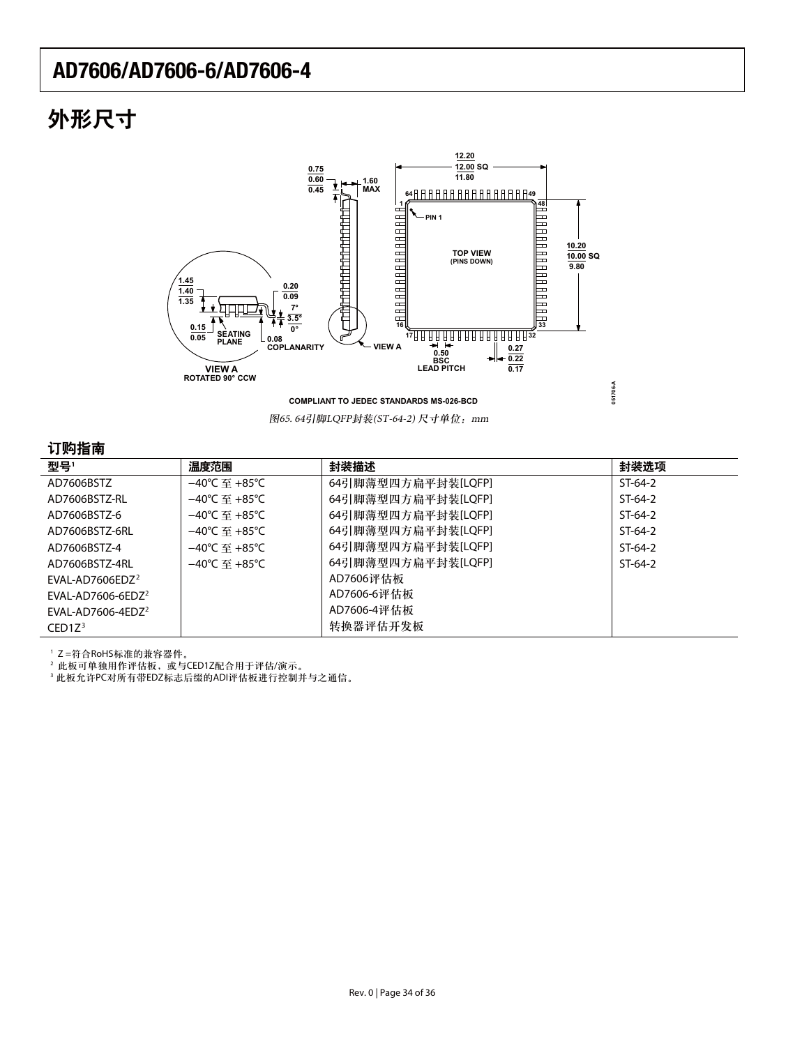# 外形尺寸



**COMPLIANT TO JEDEC STANDARDS MS-026-BCD**

图65. 64引脚LQFP封装(ST-64-2) 尺寸单位: mm

#### 订购指责

| , , , , , <u>, , , ,</u>      |                                    |                    |           |
|-------------------------------|------------------------------------|--------------------|-----------|
| 型号'                           | 温度范围                               | 封装描述               | 封装选项      |
| AD7606BSTZ                    | $-40^{\circ}$ C 至 +85 $^{\circ}$ C | 64引脚薄型四方扁平封装[LQFP] | $ST-64-2$ |
| AD7606BSTZ-RL                 | –40℃ 至 +85℃                        | 64引脚薄型四方扁平封装[LQFP] | $ST-64-2$ |
| AD7606BST7-6                  | $-40^{\circ}$ C 至 +85 $^{\circ}$ C | 64引脚薄型四方扁平封装[LQFP] | $ST-64-2$ |
| AD7606BSTZ-6RL                | $-40^{\circ}$ C 军 +85°C            | 64引脚薄型四方扁平封装[LQFP] | $ST-64-2$ |
| AD7606BSTZ-4                  | $-40^{\circ}$ C 至 +85 $^{\circ}$ C | 64引脚薄型四方扁平封装[LQFP] | $ST-64-2$ |
| AD7606BST7-4RL                | $-40^{\circ}$ C 军 +85°C            | 64引脚薄型四方扁平封装[LQFP] | $ST-64-2$ |
| EVAL-AD7606EDZ <sup>2</sup>   |                                    | AD7606评估板          |           |
| EVAL-AD7606-6EDZ <sup>2</sup> |                                    | AD7606-6评估板        |           |
| FVAI-AD7606-4FD7 <sup>2</sup> |                                    | AD7606-4评估板        |           |
| CED1Z <sup>3</sup>            |                                    | 转换器评估开发板           |           |

'Z=符合RoHS标准的兼容器件。

<sup>2</sup> 此板可单独用作评估板,或与CED1Z配合用于评估/演示。

3 此板允许PC对所有带EDZ标志后缀的ADI评估板进行控制并与之通信。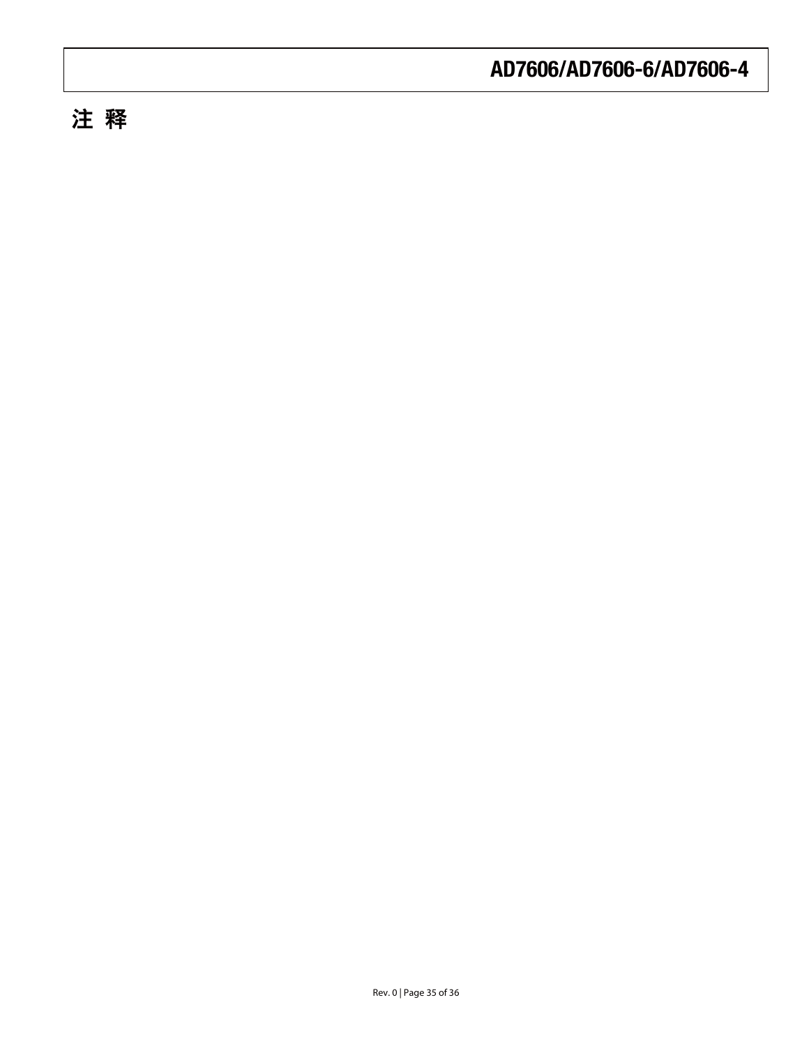# 注 释